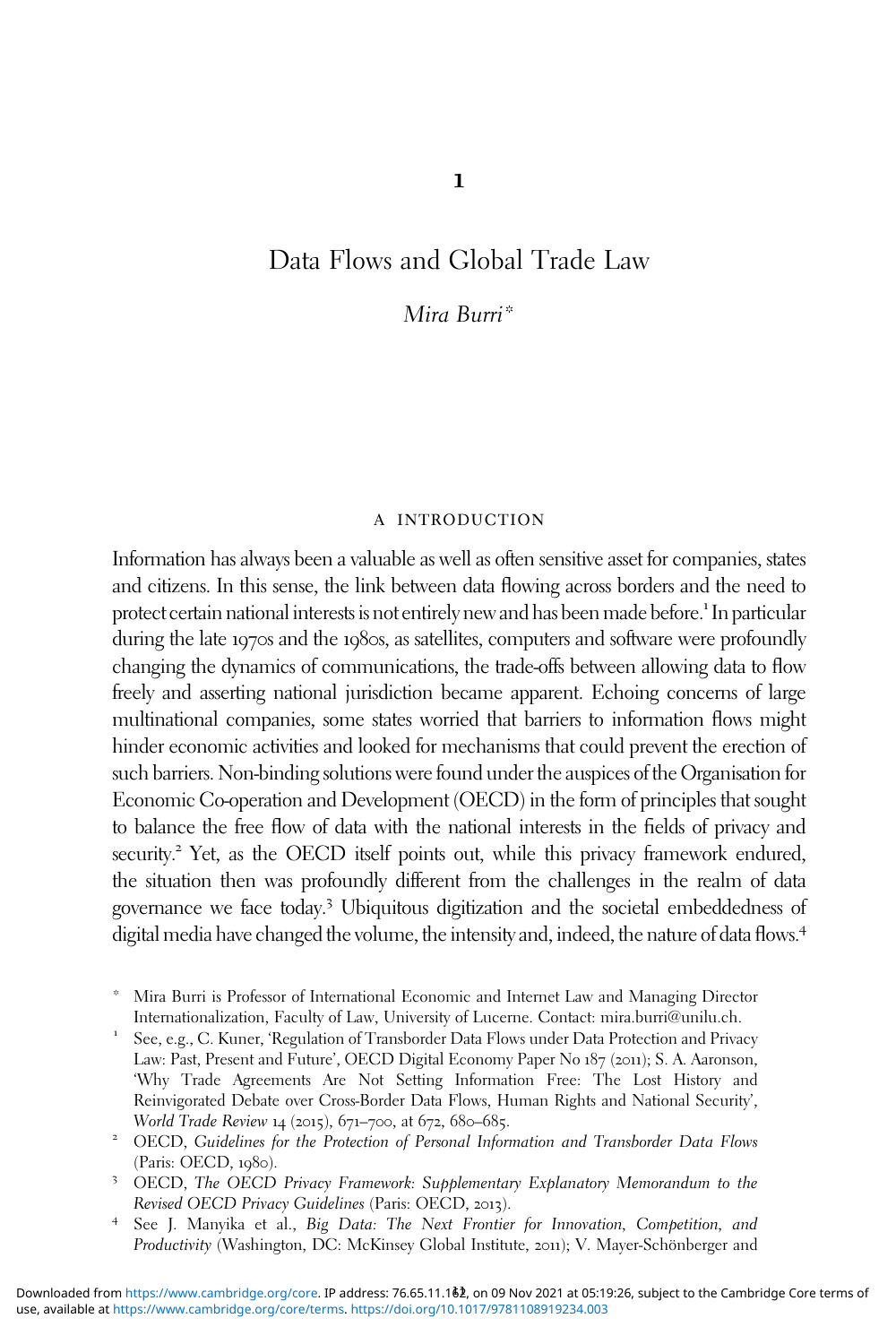# Data Flows and Global Trade Law

Mira Burri\*

#### a introduction

Information has always been a valuable as well as often sensitive asset for companies, states and citizens. In this sense, the link between data flowing across borders and the need to protect certain national interests is not entirely new and has been made before.<sup>1</sup> In particular during the late 1970s and the 1980s, as satellites, computers and software were profoundly changing the dynamics of communications, the trade-offs between allowing data to flow freely and asserting national jurisdiction became apparent. Echoing concerns of large multinational companies, some states worried that barriers to information flows might hinder economic activities and looked for mechanisms that could prevent the erection of such barriers. Non-binding solutions were found under the auspices of the Organisation for Economic Co-operation and Development (OECD) in the form of principles that sought to balance the free flow of data with the national interests in the fields of privacy and security.<sup>2</sup> Yet, as the OECD itself points out, while this privacy framework endured, the situation then was profoundly different from the challenges in the realm of data governance we face today.<sup>3</sup> Ubiquitous digitization and the societal embeddedness of digital media have changed the volume, the intensity and, indeed, the nature of data flows.<sup>4</sup>

\* Mira Burri is Professor of International Economic and Internet Law and Managing Director Internationalization, Faculty of Law, University of Lucerne. Contact: mira.burri@unilu.ch. <sup>1</sup> See, e.g., C. Kuner, 'Regulation of Transborder Data Flows under Data Protection and Privacy

Law: Past, Present and Future', OECD Digital Economy Paper No 187 (2011); S. A. Aaronson, 'Why Trade Agreements Are Not Setting Information Free: The Lost History and Reinvigorated Debate over Cross-Border Data Flows, Human Rights and National Security', World Trade Review 14 (2015), 671–700, at 672, 680–685.<br><sup>2</sup> OECD, Guidelines for the Protection of Personal Information and Transborder Data Flows

- (Paris: OECD, 1980).<br><sup>3</sup> OECD, The OECD Privacy Framework: Supplementary Explanatory Memorandum to the
- Revised OECD Privacy Guidelines (Paris: OECD, 2013).<br><sup>4</sup> See J. Manyika et al., Big Data: The Next Frontier for Innovation, Competition, and
- Productivity (Washington, DC: McKinsey Global Institute, 2011); V. Mayer-Schönberger and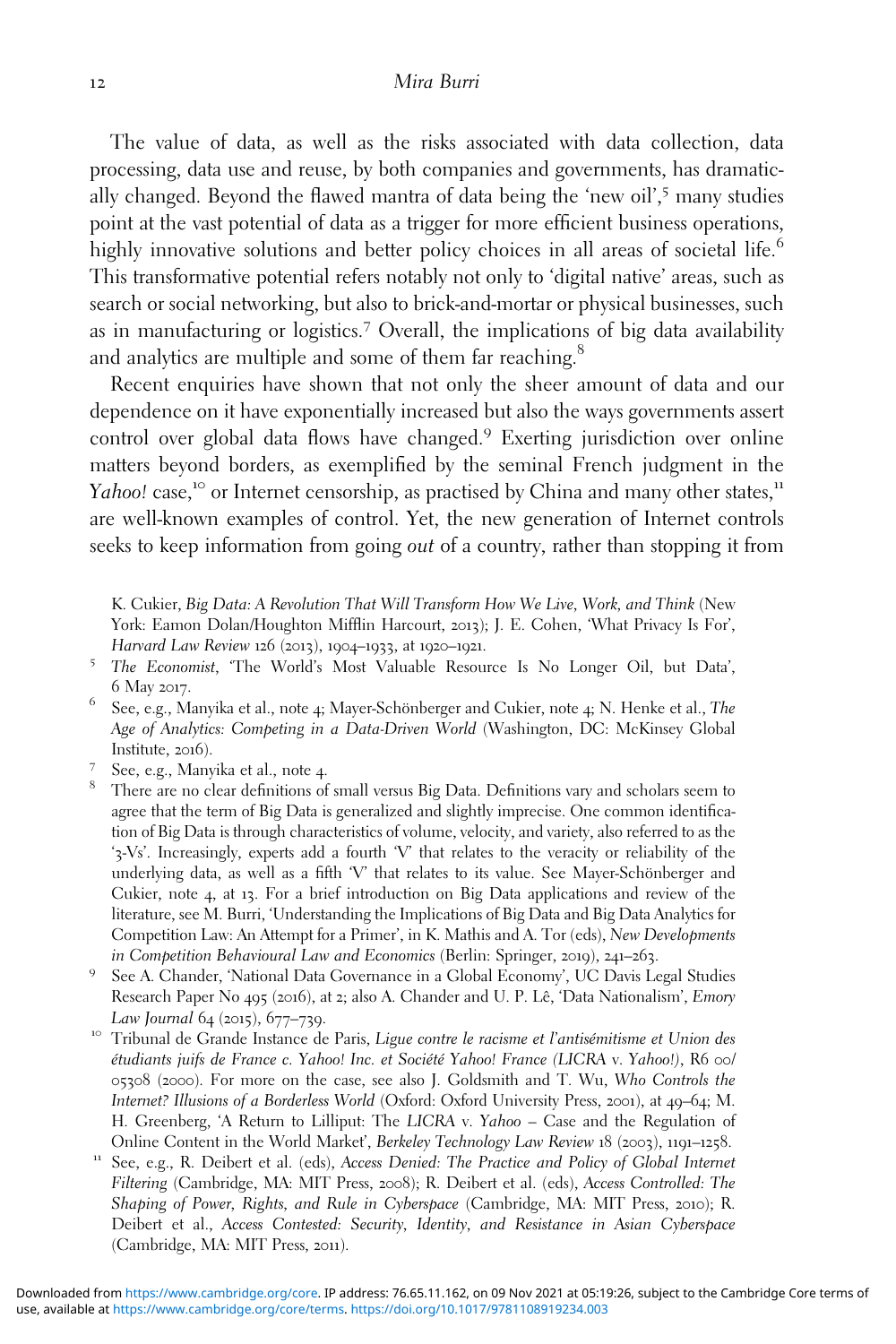## 12 Mira Burri

The value of data, as well as the risks associated with data collection, data processing, data use and reuse, by both companies and governments, has dramatically changed. Beyond the flawed mantra of data being the 'new oil',<sup>5</sup> many studies point at the vast potential of data as a trigger for more efficient business operations, highly innovative solutions and better policy choices in all areas of societal life.<sup>6</sup> This transformative potential refers notably not only to 'digital native' areas, such as search or social networking, but also to brick-and-mortar or physical businesses, such as in manufacturing or logistics.<sup>7</sup> Overall, the implications of big data availability and analytics are multiple and some of them far reaching.<sup>8</sup>

Recent enquiries have shown that not only the sheer amount of data and our dependence on it have exponentially increased but also the ways governments assert control over global data flows have changed.<sup>9</sup> Exerting jurisdiction over online matters beyond borders, as exemplified by the seminal French judgment in the Yahoo! case,<sup>10</sup> or Internet censorship, as practised by China and many other states,<sup>11</sup> are well-known examples of control. Yet, the new generation of Internet controls seeks to keep information from going out of a country, rather than stopping it from

K. Cukier, Big Data: A Revolution That Will Transform How We Live, Work, and Think (New York: Eamon Dolan/Houghton Mifflin Harcourt, 2013); J. E. Cohen, 'What Privacy Is For', Harvard Law Review 126 (2013), 1904–1933, at 1920–1921.<br><sup>5</sup> The Economist, "The World's Most Valuable Resource Is No Longer Oil, but Data',

- 
- 6 May 2017. 6 See, e.g., Manyika et al., note 4; Mayer-Schönberger and Cukier, note 4; N. Henke et al., The Age of Analytics: Competing in a Data-Driven World (Washington, DC: McKinsey Global
- 
- Institute, 2016). <br><sup>7</sup> See, e.g., Manyika et al., note 4. <br><sup>8</sup> There are no clear definitions of small versus Big Data. Definitions vary and scholars seem to agree that the term of Big Data is generalized and slightly imprecise. One common identification of Big Data is through characteristics of volume, velocity, and variety, also referred to as the '3-Vs'. Increasingly, experts add a fourth 'V' that relates to the veracity or reliability of the underlying data, as well as a fifth 'V' that relates to its value. See Mayer-Schönberger and Cukier, note 4, at 13. For a brief introduction on Big Data applications and review of the literature, see M. Burri, 'Understanding the Implications of Big Data and Big Data Analytics for Competition Law: An Attempt for a Primer', in K. Mathis and A. Tor (eds), New Developments in Competition Behavioural Law and Economics (Berlin: Springer, <sup>2019</sup>), <sup>241</sup>–263. <sup>9</sup> See A. Chander, 'National Data Governance in a Global Economy', UC Davis Legal Studies
- Research Paper No 495 (2016), at 2; also A. Chander and U. P. Lê, 'Data Nationalism', Emory
- Law Journal 64 (2015), 677–739.<br><sup>10</sup> Tribunal de Grande Instance de Paris, Ligue contre le racisme et l'antisémitisme et Union des étudiants juifs de France c. Yahoo! Inc. et Société Yahoo! France (LICRA v. Yahoo!), R6 00/ 05308 (2000). For more on the case, see also J. Goldsmith and T. Wu, Who Controls the Internet? Illusions of a Borderless World (Oxford: Oxford University Press, 2001), at 49–64; M. H. Greenberg, 'A Return to Lilliput: The LICRA v. Yahoo – Case and the Regulation of Online Content in the World Market'. Berkeley Technology Law Review 18 (2003). 1101–1258.
- See, e.g., R. Deibert et al. (eds), Access Denied: The Practice and Policy of Global Internet Filtering (Cambridge, MA: MIT Press, 2008); R. Deibert et al. (eds), Access Controlled: The Shaping of Power, Rights, and Rule in Cyberspace (Cambridge, MA: MIT Press, 2010); R. Deibert et al., Access Contested: Security, Identity, and Resistance in Asian Cyberspace (Cambridge, MA: MIT Press, 2011).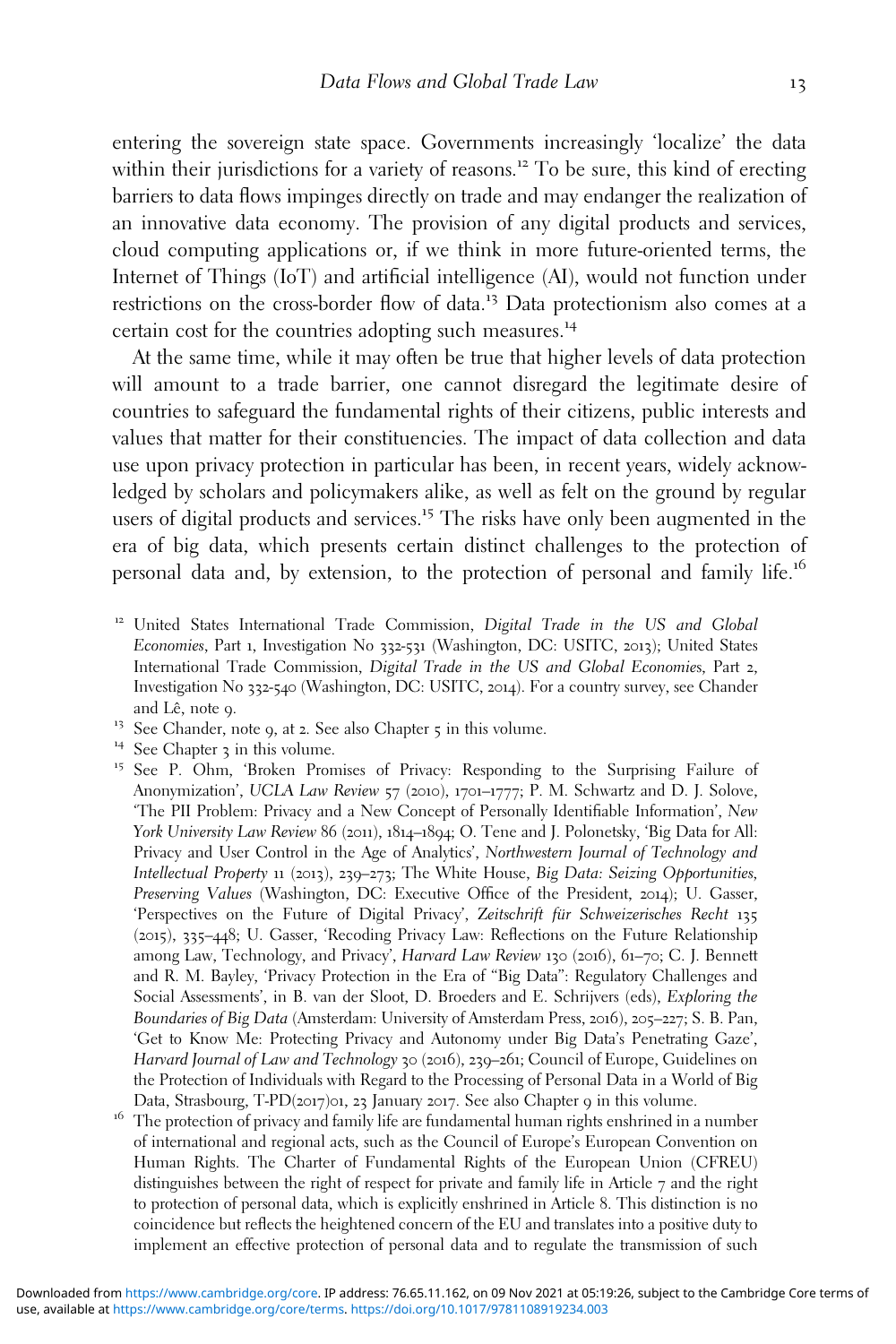entering the sovereign state space. Governments increasingly 'localize' the data within their jurisdictions for a variety of reasons.<sup>12</sup> To be sure, this kind of erecting barriers to data flows impinges directly on trade and may endanger the realization of an innovative data economy. The provision of any digital products and services, cloud computing applications or, if we think in more future-oriented terms, the Internet of Things (IoT) and artificial intelligence (AI), would not function under restrictions on the cross-border flow of data.<sup>13</sup> Data protectionism also comes at a certain cost for the countries adopting such measures.<sup>14</sup>

At the same time, while it may often be true that higher levels of data protection will amount to a trade barrier, one cannot disregard the legitimate desire of countries to safeguard the fundamental rights of their citizens, public interests and values that matter for their constituencies. The impact of data collection and data use upon privacy protection in particular has been, in recent years, widely acknowledged by scholars and policymakers alike, as well as felt on the ground by regular users of digital products and services.<sup>15</sup> The risks have only been augmented in the era of big data, which presents certain distinct challenges to the protection of personal data and, by extension, to the protection of personal and family life.<sup>16</sup>

- <sup>12</sup> United States International Trade Commission, Digital Trade in the US and Global Economies, Part 1, Investigation No 332-531 (Washington, DC: USITC, 2013); United States International Trade Commission, Digital Trade in the US and Global Economies, Part 2, Investigation No 332-540 (Washington, DC: USITC, 2014). For a country survey, see Chander and Lê, note 9. 13<br>
<sup>13</sup> See Chander, note 9, at 2. See also Chapter 5 in this volume.<br>
<sup>14</sup> See Chapter 3 in this volume.<br>
<sup>15</sup> See P. Ohm, 'Broken Promises of Privacy: Responding to the Surprising Failure of
- 
- 
- Anonymization', UCLA Law Review 57 (2010), 1701-1777; P. M. Schwartz and D. J. Solove, 'The PII Problem: Privacy and a New Concept of Personally Identifiable Information', New York University Law Review 86 (2011), 1814-1894; O. Tene and J. Polonetsky, 'Big Data for All: Privacy and User Control in the Age of Analytics', Northwestern Journal of Technology and Intellectual Property 11 (2013), 239–273; The White House, Big Data: Seizing Opportunities, Preserving Values (Washington, DC: Executive Office of the President, 2014); U. Gasser, 'Perspectives on the Future of Digital Privacy', Zeitschrift für Schweizerisches Recht 135 (2015), 335–448; U. Gasser, 'Recoding Privacy Law: Reflections on the Future Relationship among Law, Technology, and Privacy', Harvard Law Review 130 (2016), 61–70; C. J. Bennett and R. M. Bayley, 'Privacy Protection in the Era of "Big Data": Regulatory Challenges and Social Assessments', in B. van der Sloot, D. Broeders and E. Schrijvers (eds), Exploring the Boundaries of Big Data (Amsterdam: University of Amsterdam Press, 2016), 205–227; S. B. Pan, 'Get to Know Me: Protecting Privacy and Autonomy under Big Data's Penetrating Gaze', Harvard Journal of Law and Technology 30 (2016), 239–261; Council of Europe, Guidelines on the Protection of Individuals with Regard to the Processing of Personal Data in a World of Big
- Data, Strasbourg, T-PD(2017)01, 23 January 2017. See also Chapter 9 in this volume.<br><sup>16</sup> The protection of privacy and family life are fundamental human rights enshrined in a number of international and regional acts, such as the Council of Europe's European Convention on Human Rights. The Charter of Fundamental Rights of the European Union (CFREU) distinguishes between the right of respect for private and family life in Article 7 and the right to protection of personal data, which is explicitly enshrined in Article 8. This distinction is no coincidence but reflects the heightened concern of the EU and translates into a positive duty to implement an effective protection of personal data and to regulate the transmission of such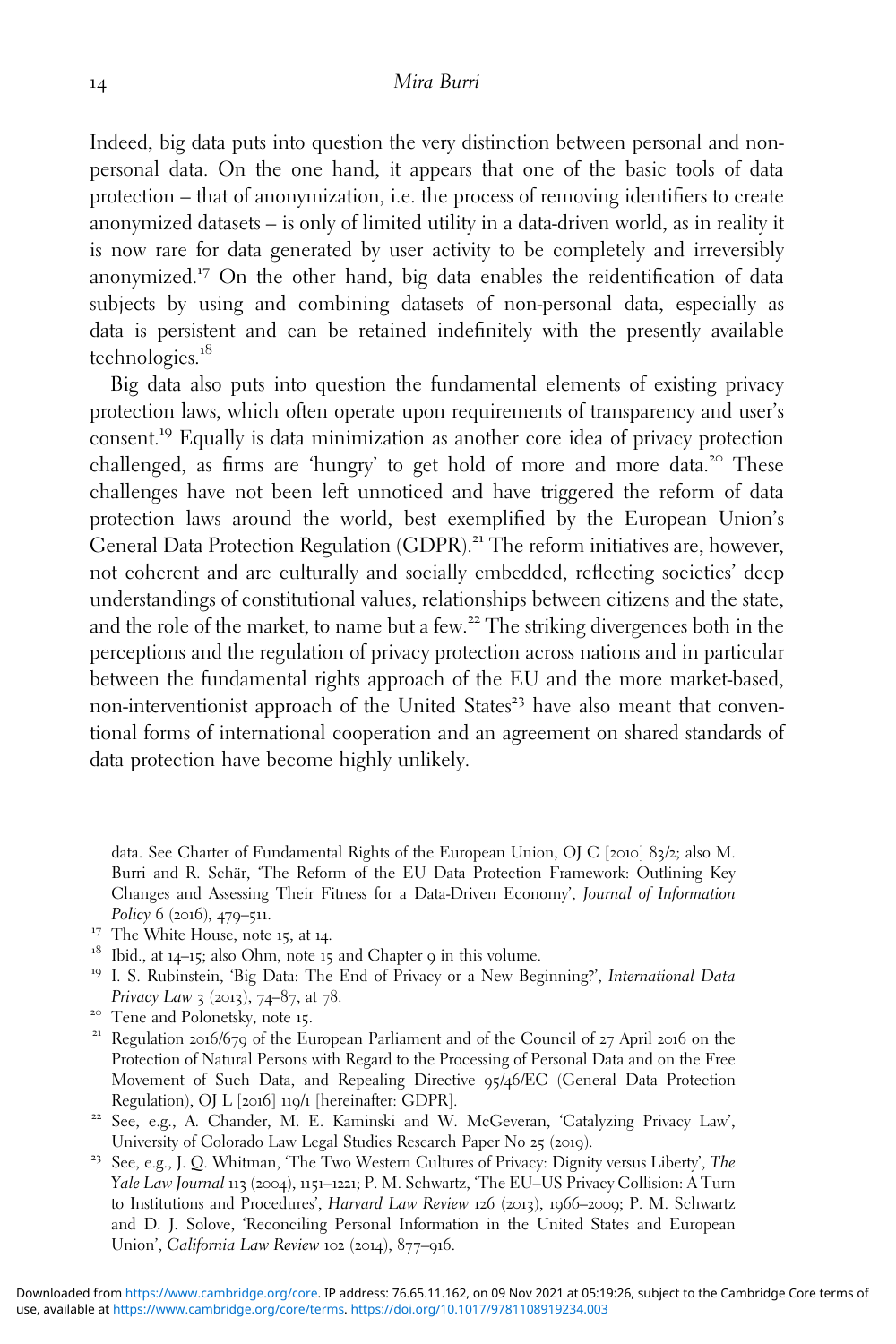Indeed, big data puts into question the very distinction between personal and nonpersonal data. On the one hand, it appears that one of the basic tools of data protection – that of anonymization, i.e. the process of removing identifiers to create anonymized datasets – is only of limited utility in a data-driven world, as in reality it is now rare for data generated by user activity to be completely and irreversibly anonymized.<sup>17</sup> On the other hand, big data enables the reidentification of data subjects by using and combining datasets of non-personal data, especially as data is persistent and can be retained indefinitely with the presently available technologies.<sup>18</sup>

Big data also puts into question the fundamental elements of existing privacy protection laws, which often operate upon requirements of transparency and user's consent.<sup>19</sup> Equally is data minimization as another core idea of privacy protection challenged, as firms are 'hungry' to get hold of more and more data.<sup>20</sup> These challenges have not been left unnoticed and have triggered the reform of data protection laws around the world, best exemplified by the European Union's General Data Protection Regulation (GDPR).<sup>21</sup> The reform initiatives are, however, not coherent and are culturally and socially embedded, reflecting societies' deep understandings of constitutional values, relationships between citizens and the state, and the role of the market, to name but a few.<sup>22</sup> The striking divergences both in the perceptions and the regulation of privacy protection across nations and in particular between the fundamental rights approach of the EU and the more market-based, non-interventionist approach of the United States<sup>23</sup> have also meant that conventional forms of international cooperation and an agreement on shared standards of data protection have become highly unlikely.

data. See Charter of Fundamental Rights of the European Union, OJ C [2010] 83/2; also M. Burri and R. Schär, 'The Reform of the EU Data Protection Framework: Outlining Key Changes and Assessing Their Fitness for a Data-Driven Economy', Journal of Information

- 
- 
- Policy 6 (2016), 479–511.<br><sup>17</sup> The White House, note 15, at 14.<br><sup>18</sup> Ibid., at 14–15; also Ohm, note 15 and Chapter 9 in this volume.<br><sup>19</sup> I. S. Rubinstein, 'Big Data: The End of Privacy or a New Beginning?', *Internation*
- 
- <sup>20</sup> Tene and Polonetsky, note 15.<br><sup>21</sup> Regulation 2016/679 of the European Parliament and of the Council of 27 April 2016 on the Protection of Natural Persons with Regard to the Processing of Personal Data and on the Free Movement of Such Data, and Repealing Directive 95/46/EC (General Data Protection
- Regulation), OJ L [2016] 119/1 [hereinafter: GDPR].<br>
<sup>22</sup> See, e.g., A. Chander, M. E. Kaminski and W. McGeveran, 'Catalyzing Privacy Law',<br>
University of Colorado Law Legal Studies Research Paper No 25 (2019).
- <sup>23</sup> See, e.g., J. Q. Whitman, 'The Two Western Cultures of Privacy: Dignity versus Liberty', The Yale Law Journal 113 (2004), 1151–1221; P. M. Schwartz, 'The EU–US Privacy Collision: A Turn to Institutions and Procedures', Harvard Law Review 126 (2013), 1966–2009; P. M. Schwartz and D. J. Solove, 'Reconciling Personal Information in the United States and European Union', California Law Review 102 (2014), 877–916.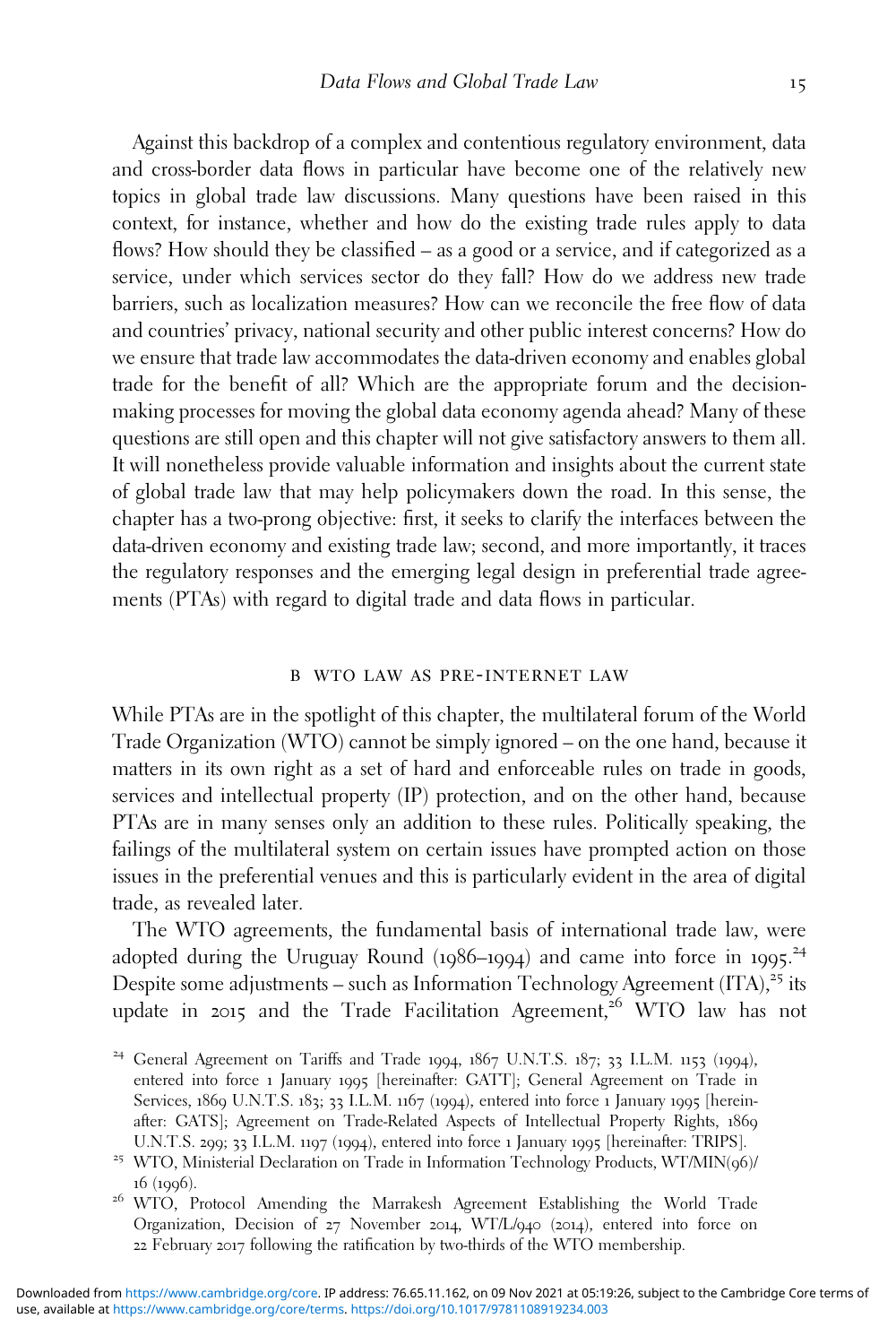Against this backdrop of a complex and contentious regulatory environment, data and cross-border data flows in particular have become one of the relatively new topics in global trade law discussions. Many questions have been raised in this context, for instance, whether and how do the existing trade rules apply to data flows? How should they be classified – as a good or a service, and if categorized as a service, under which services sector do they fall? How do we address new trade barriers, such as localization measures? How can we reconcile the free flow of data and countries' privacy, national security and other public interest concerns? How do we ensure that trade law accommodates the data-driven economy and enables global trade for the benefit of all? Which are the appropriate forum and the decisionmaking processes for moving the global data economy agenda ahead? Many of these questions are still open and this chapter will not give satisfactory answers to them all. It will nonetheless provide valuable information and insights about the current state of global trade law that may help policymakers down the road. In this sense, the chapter has a two-prong objective: first, it seeks to clarify the interfaces between the data-driven economy and existing trade law; second, and more importantly, it traces the regulatory responses and the emerging legal design in preferential trade agreements (PTAs) with regard to digital trade and data flows in particular.

## b wto law as pre-internet law

While PTAs are in the spotlight of this chapter, the multilateral forum of the World Trade Organization (WTO) cannot be simply ignored – on the one hand, because it matters in its own right as a set of hard and enforceable rules on trade in goods, services and intellectual property (IP) protection, and on the other hand, because PTAs are in many senses only an addition to these rules. Politically speaking, the failings of the multilateral system on certain issues have prompted action on those issues in the preferential venues and this is particularly evident in the area of digital trade, as revealed later.

The WTO agreements, the fundamental basis of international trade law, were adopted during the Uruguay Round (1986–1994) and came into force in 1995.<sup>24</sup> Despite some adjustments – such as Information Technology Agreement  $(ITA),<sup>25</sup>$  its update in 2015 and the Trade Facilitation Agreement,<sup>26</sup> WTO law has not

<sup>&</sup>lt;sup>24</sup> General Agreement on Tariffs and Trade 1994,  $1867$  U.N.T.S.  $187$ ; 33 I.L.M. 1153 (1994), entered into force 1 January 1995 [hereinafter: GATT]; General Agreement on Trade in Services, 1869 U.N.T.S. 183; 33 I.L.M. 1167 (1994), entered into force 1 January 1995 [hereinafter: GATS]; Agreement on Trade-Related Aspects of Intellectual Property Rights, 1869 U.N.T.S. <sup>299</sup>; <sup>33</sup> I.L.M. <sup>1197</sup> (1994), entered into force <sup>1</sup> January <sup>1995</sup> [hereinafter: TRIPS]. <sup>25</sup> WTO, Ministerial Declaration on Trade in Information Technology Products, WT/MIN(96)/

<sup>16</sup> (1996). <sup>26</sup> WTO, Protocol Amending the Marrakesh Agreement Establishing the World Trade

Organization, Decision of 27 November 2014, WT/L/940 (2014), entered into force on 22 February 2017 following the ratification by two-thirds of the WTO membership.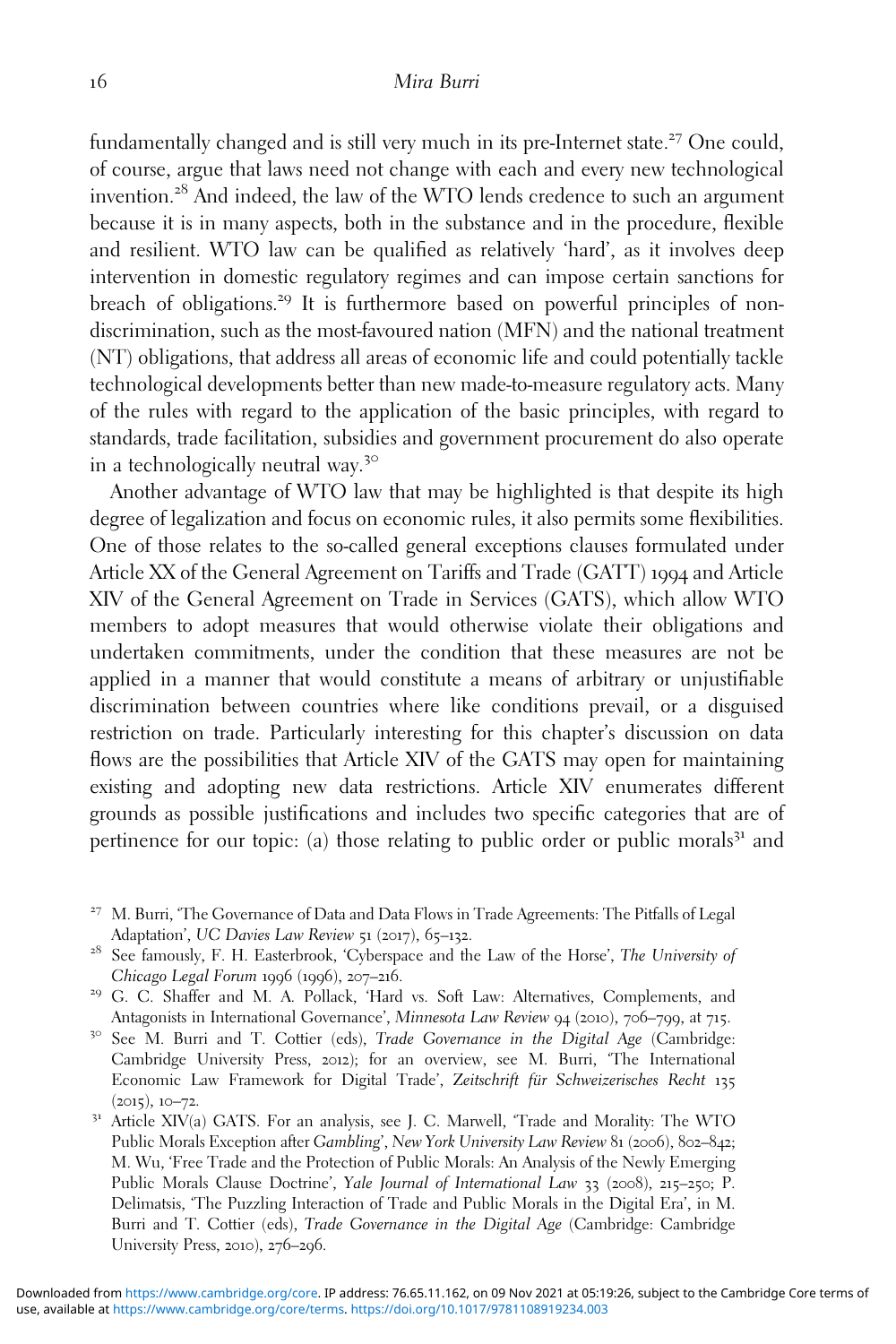fundamentally changed and is still very much in its pre-Internet state.<sup>27</sup> One could, of course, argue that laws need not change with each and every new technological invention.<sup>28</sup> And indeed, the law of the WTO lends credence to such an argument because it is in many aspects, both in the substance and in the procedure, flexible and resilient. WTO law can be qualified as relatively 'hard', as it involves deep intervention in domestic regulatory regimes and can impose certain sanctions for breach of obligations.<sup>29</sup> It is furthermore based on powerful principles of nondiscrimination, such as the most-favoured nation (MFN) and the national treatment (NT) obligations, that address all areas of economic life and could potentially tackle technological developments better than new made-to-measure regulatory acts. Many of the rules with regard to the application of the basic principles, with regard to standards, trade facilitation, subsidies and government procurement do also operate in a technologically neutral way.<sup>30</sup>

Another advantage of WTO law that may be highlighted is that despite its high degree of legalization and focus on economic rules, it also permits some flexibilities. One of those relates to the so-called general exceptions clauses formulated under Article XX of the General Agreement on Tariffs and Trade (GATT) 1994 and Article XIV of the General Agreement on Trade in Services (GATS), which allow WTO members to adopt measures that would otherwise violate their obligations and undertaken commitments, under the condition that these measures are not be applied in a manner that would constitute a means of arbitrary or unjustifiable discrimination between countries where like conditions prevail, or a disguised restriction on trade. Particularly interesting for this chapter's discussion on data flows are the possibilities that Article XIV of the GATS may open for maintaining existing and adopting new data restrictions. Article XIV enumerates different grounds as possible justifications and includes two specific categories that are of pertinence for our topic: (a) those relating to public order or public morals<sup>31</sup> and

- <sup>27</sup> M. Burri, 'The Governance of Data and Data Flows in Trade Agreements: The Pitfalls of Legal
- Adaptation', UC Davies Law Review 51 (2017), 65–132.<br><sup>28</sup> See famously, F. H. Easterbrook, 'Cyberspace and the Law of the Horse', The University of Chicago Legal Forum 1996 (1996), 207–216.<br><sup>29</sup> G. C. Shaffer and M. A. Pollack, 'Hard vs. Soft Law: Alternatives, Complements, and
- Antagonists in International Governance', Minnesota Law Review 94 (2010), 706–799, at 715.<br><sup>30</sup> See M. Burri and T. Cottier (eds), *Trade Governance in the Digital Age* (Cambridge:
- Cambridge University Press, 2012); for an overview, see M. Burri, 'The International Economic Law Framework for Digital Trade', Zeitschrift für Schweizerisches Recht 135
- (2015), 10–72.  $\frac{31}{31}$  Article XIV(a) GATS. For an analysis, see J. C. Marwell, 'Trade and Morality: The WTO Public Morals Exception after Gambling', New York University Law Review 81 (2006), 802–842; M. Wu, 'Free Trade and the Protection of Public Morals: An Analysis of the Newly Emerging Public Morals Clause Doctrine', Yale Journal of International Law 33 (2008), 215-250; P. Delimatsis, 'The Puzzling Interaction of Trade and Public Morals in the Digital Era', in M. Burri and T. Cottier (eds), Trade Governance in the Digital Age (Cambridge: Cambridge University Press, 2010), 276–296.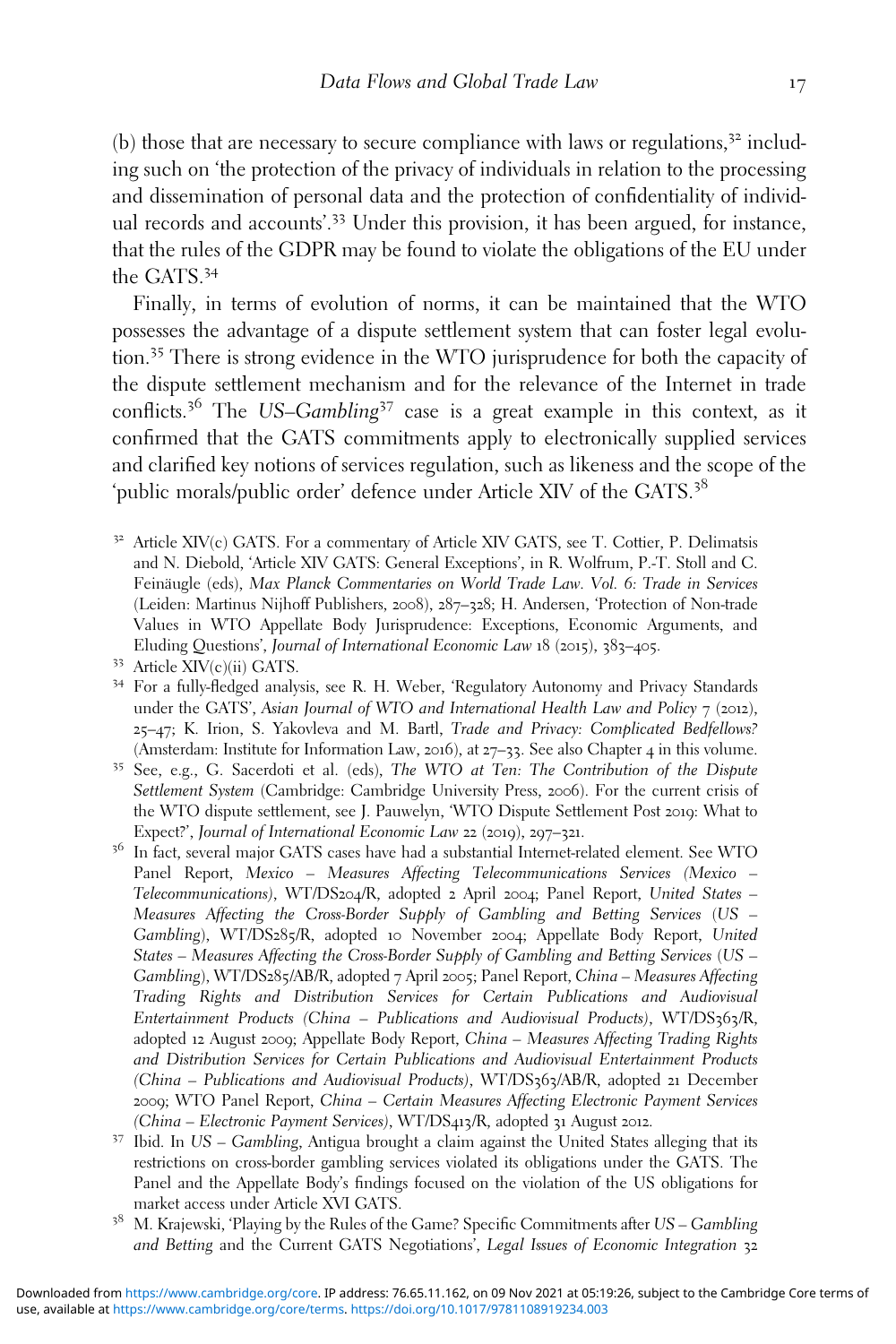(b) those that are necessary to secure compliance with laws or regulations, $3<sup>2</sup>$  including such on 'the protection of the privacy of individuals in relation to the processing and dissemination of personal data and the protection of confidentiality of individual records and accounts'. <sup>33</sup> Under this provision, it has been argued, for instance, that the rules of the GDPR may be found to violate the obligations of the EU under the GATS.<sup>34</sup>

Finally, in terms of evolution of norms, it can be maintained that the WTO possesses the advantage of a dispute settlement system that can foster legal evolution.<sup>35</sup> There is strong evidence in the WTO jurisprudence for both the capacity of the dispute settlement mechanism and for the relevance of the Internet in trade conflicts.<sup>36</sup> The US–Gambling<sup>37</sup> case is a great example in this context, as it confirmed that the GATS commitments apply to electronically supplied services and clarified key notions of services regulation, such as likeness and the scope of the 'public morals/public order' defence under Article XIV of the GATS.<sup>38</sup>

<sup>32</sup> Article XIV(c) GATS. For a commentary of Article XIV GATS, see T. Cottier, P. Delimatsis and N. Diebold, 'Article XIV GATS: General Exceptions', in R. Wolfrum, P.-T. Stoll and C. Feinäugle (eds), Max Planck Commentaries on World Trade Law. Vol. *6*: Trade in Services (Leiden: Martinus Nijhoff Publishers, 2008), 287–328; H. Andersen, 'Protection of Non-trade Values in WTO Appellate Body Jurisprudence: Exceptions, Economic Arguments, and Eluding Questions', Journal of International Economic Law 18 (2015), 383–405.<br><sup>33</sup> Article XIV(c)(ii) GATS.<br><sup>34</sup> For a fully-fledged analysis, see R. H. Weber, 'Regulatory Autonomy and Privacy Standards

- under the GATS', Asian Journal of WTO and International Health Law and Policy  $7$  (2012), 25–47; K. Irion, S. Yakovleva and M. Bartl, Trade and Privacy: Complicated Bedfellows?
- (Amsterdam: Institute for Information Law, 2016), at  $27-33$ . See also Chapter 4 in this volume.<br><sup>35</sup> See, e.g., G. Sacerdoti et al. (eds), *The WTO at Ten: The Contribution of the Dispute* Settlement System (Cambridge: Cambridge University Press, 2006). For the current crisis of the WTO dispute settlement, see J. Pauwelyn, 'WTO Dispute Settlement Post 2019: What to Expect?', Journal of International Economic Law <sup>22</sup> (2019), <sup>297</sup>–321. <sup>36</sup> In fact, several major GATS cases have had a substantial Internet-related element. See WTO
- Panel Report, Mexico Measures Affecting Telecommunications Services (Mexico Telecommunications), WT/DS204/R, adopted 2 April 2004; Panel Report, United States – Measures Affecting the Cross-Border Supply of Gambling and Betting Services (US – Gambling), WT/DS285/R, adopted 10 November 2004; Appellate Body Report, United States – Measures Affecting the Cross-Border Supply of Gambling and Betting Services (US – Gambling), WT/DS285/AB/R, adopted 7 April 2005; Panel Report, China – Measures Affecting Trading Rights and Distribution Services for Certain Publications and Audiovisual Entertainment Products (China - Publications and Audiovisual Products), WT/DS363/R, adopted 12 August 2009; Appellate Body Report, China – Measures Affecting Trading Rights and Distribution Services for Certain Publications and Audiovisual Entertainment Products (China – Publications and Audiovisual Products), WT/DS363/AB/R, adopted 21 December 2009; WTO Panel Report, China – Certain Measures Affecting Electronic Payment Services (China – Electronic Payment Services), WT/DS413/R, adopted <sup>31</sup> August <sup>2012</sup>. <sup>37</sup> Ibid. In US – Gambling, Antigua brought a claim against the United States alleging that its
- restrictions on cross-border gambling services violated its obligations under the GATS. The Panel and the Appellate Body's findings focused on the violation of the US obligations for market access under Article XVI GATS.
- <sup>38</sup> M. Krajewski, 'Playing by the Rules of the Game? Specific Commitments after US Gambling and Betting and the Current GATS Negotiations', Legal Issues of Economic Integration 32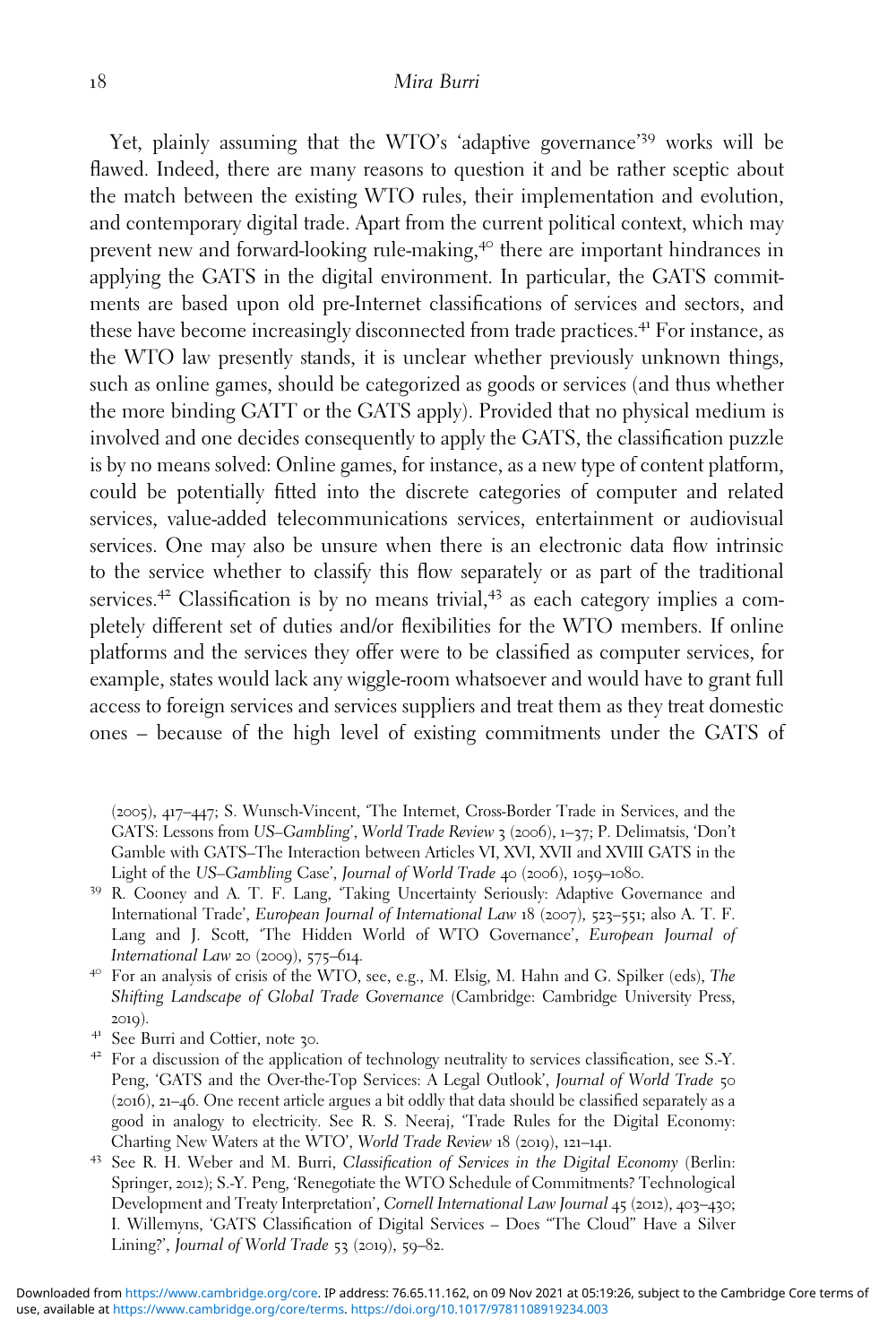## 18 Mira Burri

Yet, plainly assuming that the WTO's 'adaptive governance' <sup>39</sup> works will be flawed. Indeed, there are many reasons to question it and be rather sceptic about the match between the existing WTO rules, their implementation and evolution, and contemporary digital trade. Apart from the current political context, which may prevent new and forward-looking rule-making,<sup>40</sup> there are important hindrances in applying the GATS in the digital environment. In particular, the GATS commitments are based upon old pre-Internet classifications of services and sectors, and these have become increasingly disconnected from trade practices.<sup>41</sup> For instance, as the WTO law presently stands, it is unclear whether previously unknown things, such as online games, should be categorized as goods or services (and thus whether the more binding GATT or the GATS apply). Provided that no physical medium is involved and one decides consequently to apply the GATS, the classification puzzle is by no means solved: Online games, for instance, as a new type of content platform, could be potentially fitted into the discrete categories of computer and related services, value-added telecommunications services, entertainment or audiovisual services. One may also be unsure when there is an electronic data flow intrinsic to the service whether to classify this flow separately or as part of the traditional services.<sup>42</sup> Classification is by no means trivial, $43$  as each category implies a completely different set of duties and/or flexibilities for the WTO members. If online platforms and the services they offer were to be classified as computer services, for example, states would lack any wiggle-room whatsoever and would have to grant full access to foreign services and services suppliers and treat them as they treat domestic ones – because of the high level of existing commitments under the GATS of

- 
- Peng, 'GATS and the Over-the-Top Services: A Legal Outlook', Journal of World Trade 50 (2016), 21–46. One recent article argues a bit oddly that data should be classified separately as a good in analogy to electricity. See R. S. Neeraj, 'Trade Rules for the Digital Economy: Charting New Waters at the WTO', World Trade Review 18 (2019), 121-141.
- <sup>43</sup> See R. H. Weber and M. Burri, Classification of Services in the Digital Economy (Berlin: Springer, 2012); S.-Y. Peng, 'Renegotiate the WTO Schedule of Commitments? Technological Development and Treaty Interpretation', Cornell International Law Journal 45 (2012), 403–430; I. Willemyns, 'GATS Classification of Digital Services – Does "The Cloud" Have a Silver Lining?', Journal of World Trade 53 (2019), 59-82.

<sup>(</sup>2005), 417–447; S. Wunsch-Vincent, 'The Internet, Cross-Border Trade in Services, and the GATS: Lessons from US–Gambling', World Trade Review 3 (2006), 1–37; P. Delimatsis, 'Don't Gamble with GATS–The Interaction between Articles VI, XVI, XVII and XVIII GATS in the Light of the US–Gambling Case', Journal of World Trade 40 (2006), 1059–1080.<br><sup>39</sup> R. Cooney and A. T. F. Lang, 'Taking Uncertainty Seriously: Adaptive Governance and

International Trade', European Journal of International Law 18 (2007), 523–551; also A. T. F. Lang and J. Scott, 'The Hidden World of WTO Governance', European Journal of International Law 20 (2009), 575–614.<br><sup>40</sup> For an analysis of crisis of the WTO, see, e.g., M. Elsig, M. Hahn and G. Spilker (eds), The

Shifting Landscape of Global Trade Governance (Cambridge: Cambridge University Press, 2019).<br><sup>41</sup> See Burri and Cottier, note 30.<br><sup>42</sup> For a discussion of the application of technology neutrality to services classification, see S.-Y.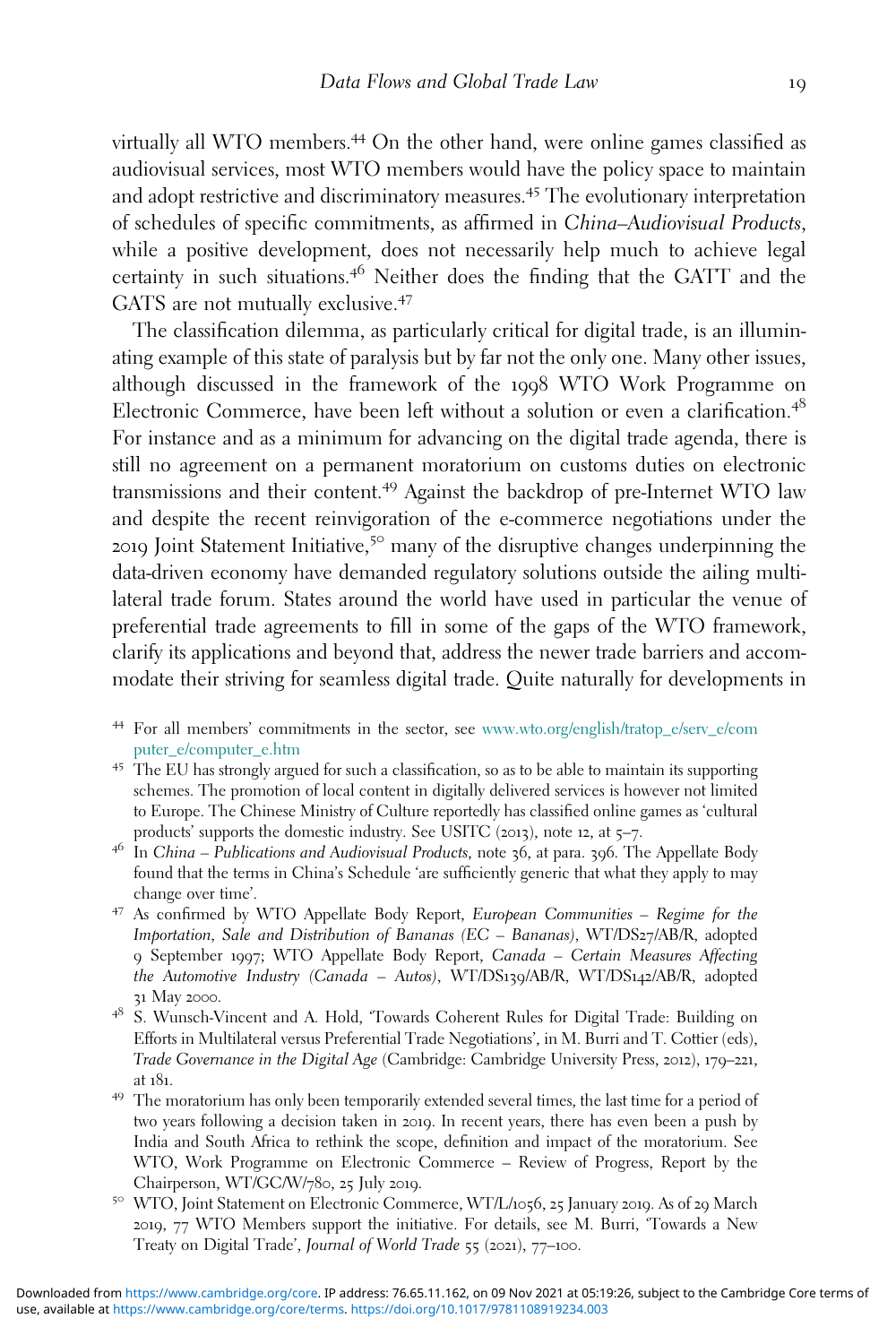virtually all WTO members.<sup>44</sup> On the other hand, were online games classified as audiovisual services, most WTO members would have the policy space to maintain and adopt restrictive and discriminatory measures.<sup>45</sup> The evolutionary interpretation of schedules of specific commitments, as affirmed in China–Audiovisual Products, while a positive development, does not necessarily help much to achieve legal certainty in such situations.<sup>46</sup> Neither does the finding that the GATT and the GATS are not mutually exclusive.<sup>47</sup>

The classification dilemma, as particularly critical for digital trade, is an illuminating example of this state of paralysis but by far not the only one. Many other issues, although discussed in the framework of the 1998 WTO Work Programme on Electronic Commerce, have been left without a solution or even a clarification.<sup>48</sup> For instance and as a minimum for advancing on the digital trade agenda, there is still no agreement on a permanent moratorium on customs duties on electronic transmissions and their content.<sup>49</sup> Against the backdrop of pre-Internet WTO law and despite the recent reinvigoration of the e-commerce negotiations under the <sup>2019</sup> Joint Statement Initiative,<sup>50</sup> many of the disruptive changes underpinning the data-driven economy have demanded regulatory solutions outside the ailing multilateral trade forum. States around the world have used in particular the venue of preferential trade agreements to fill in some of the gaps of the WTO framework, clarify its applications and beyond that, address the newer trade barriers and accommodate their striving for seamless digital trade. Quite naturally for developments in

- <sup>44</sup> For all members' commitments in the sector, see [www.wto.org/english/tratop\\_e/serv\\_e/com](http://www.wto.org/english/tratop_e/serv_e/computer_e/computer_e.htm) [puter\\_e/computer\\_e.htm](http://www.wto.org/english/tratop_e/serv_e/computer_e/computer_e.htm) <sup>45</sup> The EU has strongly argued for such a classification, so as to be able to maintain its supporting
- schemes. The promotion of local content in digitally delivered services is however not limited to Europe. The Chinese Ministry of Culture reportedly has classified online games as 'cultural
- products' supports the domestic industry. See USITC (2013), note <sup>12</sup>, at <sup>5</sup>–7. <sup>46</sup> In China Publications and Audiovisual Products, note <sup>36</sup>, at para. <sup>396</sup>. The Appellate Body found that the terms in China's Schedule 'are sufficiently generic that what they apply to may change over time'. <sup>47</sup> As confirmed by WTO Appellate Body Report, European Communities – Regime for the
- Importation, Sale and Distribution of Bananas (EC Bananas), WT/DS27/AB/R, adopted 9 September 1997; WTO Appellate Body Report, Canada – Certain Measures Affecting the Automotive Industry (Canada – Autos), WT/DS139/AB/R, WT/DS142/AB/R, adopted 31 May 2000.
- <sup>48</sup> S. Wunsch-Vincent and A. Hold, 'Towards Coherent Rules for Digital Trade: Building on Efforts in Multilateral versus Preferential Trade Negotiations', in M. Burri and T. Cottier (eds), Trade Governance in the Digital Age (Cambridge: Cambridge University Press, 2012), 179–221, at <sup>181</sup>. <sup>49</sup> The moratorium has only been temporarily extended several times, the last time for a period of
- two years following a decision taken in 2019. In recent years, there has even been a push by India and South Africa to rethink the scope, definition and impact of the moratorium. See WTO, Work Programme on Electronic Commerce – Review of Progress, Report by the Chairperson, WT/GC/W/780, 25 July 2019.<br><sup>50</sup> WTO, Joint Statement on Electronic Commerce, WT/L/1056, 25 January 2019. As of 29 March
- 2019, 77 WTO Members support the initiative. For details, see M. Burri, 'Towards a New Treaty on Digital Trade', Journal of World Trade 55 (2021), 77–100.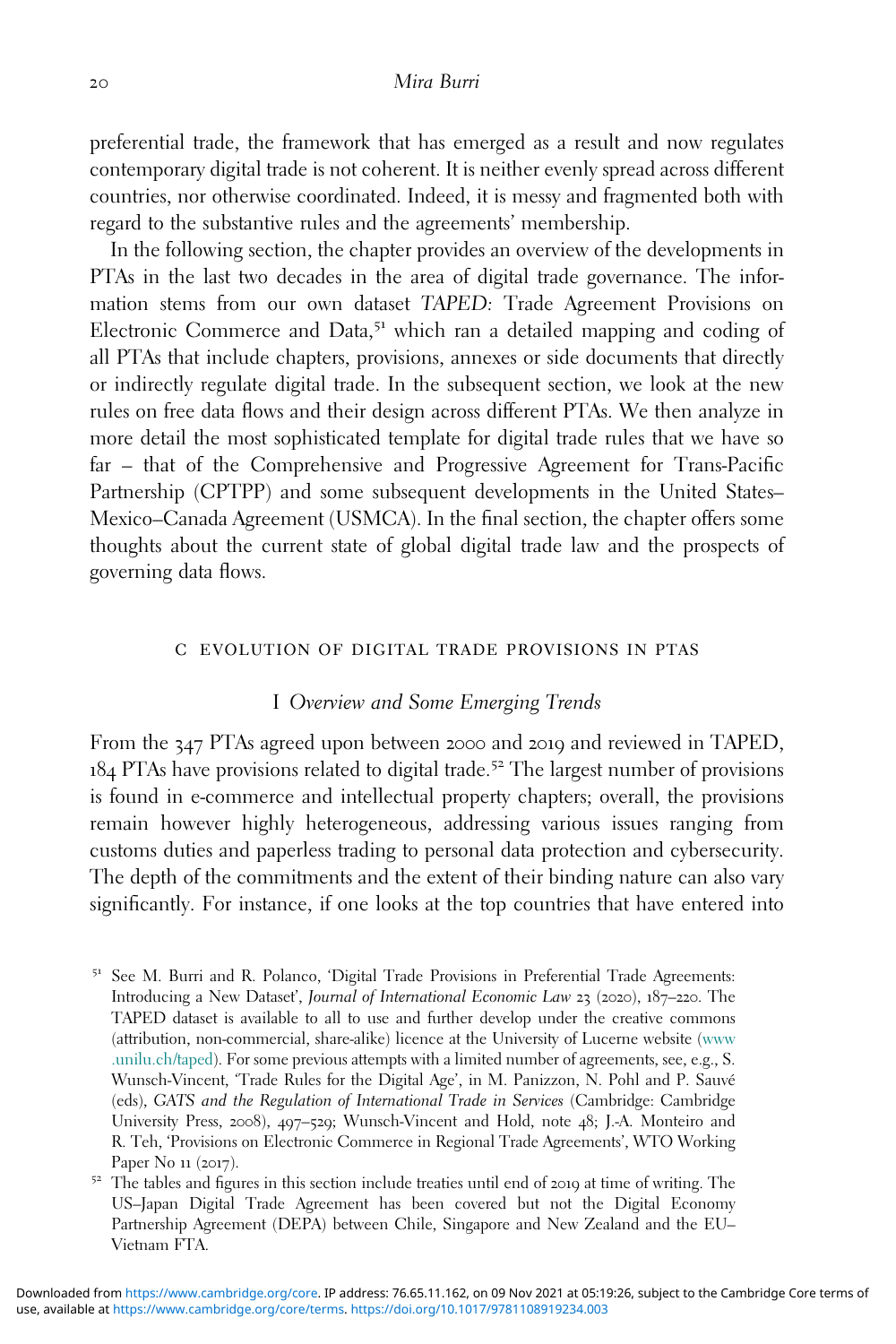preferential trade, the framework that has emerged as a result and now regulates contemporary digital trade is not coherent. It is neither evenly spread across different countries, nor otherwise coordinated. Indeed, it is messy and fragmented both with regard to the substantive rules and the agreements' membership.

In the following section, the chapter provides an overview of the developments in PTAs in the last two decades in the area of digital trade governance. The information stems from our own dataset TAPED: Trade Agreement Provisions on Electronic Commerce and Data,<sup>51</sup> which ran a detailed mapping and coding of all PTAs that include chapters, provisions, annexes or side documents that directly or indirectly regulate digital trade. In the subsequent section, we look at the new rules on free data flows and their design across different PTAs. We then analyze in more detail the most sophisticated template for digital trade rules that we have so far – that of the Comprehensive and Progressive Agreement for Trans-Pacific Partnership (CPTPP) and some subsequent developments in the United States– Mexico–Canada Agreement (USMCA). In the final section, the chapter offers some thoughts about the current state of global digital trade law and the prospects of governing data flows.

## c evolution of digital trade provisions in ptas

## I Overview and Some Emerging Trends

From the 347 PTAs agreed upon between 2000 and 2019 and reviewed in TAPED, 184 PTAs have provisions related to digital trade.<sup>52</sup> The largest number of provisions is found in e-commerce and intellectual property chapters; overall, the provisions remain however highly heterogeneous, addressing various issues ranging from customs duties and paperless trading to personal data protection and cybersecurity. The depth of the commitments and the extent of their binding nature can also vary significantly. For instance, if one looks at the top countries that have entered into

<sup>51</sup> See M. Burri and R. Polanco, 'Digital Trade Provisions in Preferential Trade Agreements: Introducing a New Dataset', Journal of International Economic Law 23 (2020), 187–220. The TAPED dataset is available to all to use and further develop under the creative commons (attribution, non-commercial, share-alike) licence at the University of Lucerne website ([www](http://www.unilu.ch/taped) [.unilu.ch/taped\)](http://www.unilu.ch/taped). For some previous attempts with a limited number of agreements, see, e.g., S. Wunsch-Vincent, 'Trade Rules for the Digital Age', in M. Panizzon, N. Pohl and P. Sauvé (eds), GATS and the Regulation of International Trade in Services (Cambridge: Cambridge University Press, 2008), 497–529; Wunsch-Vincent and Hold, note 48; J.-A. Monteiro and R. Teh, 'Provisions on Electronic Commerce in Regional Trade Agreements', WTO Working Paper No 11 (2017).<br><sup>52</sup> The tables and figures in this section include treaties until end of 2019 at time of writing. The

US–Japan Digital Trade Agreement has been covered but not the Digital Economy Partnership Agreement (DEPA) between Chile, Singapore and New Zealand and the EU– Vietnam FTA.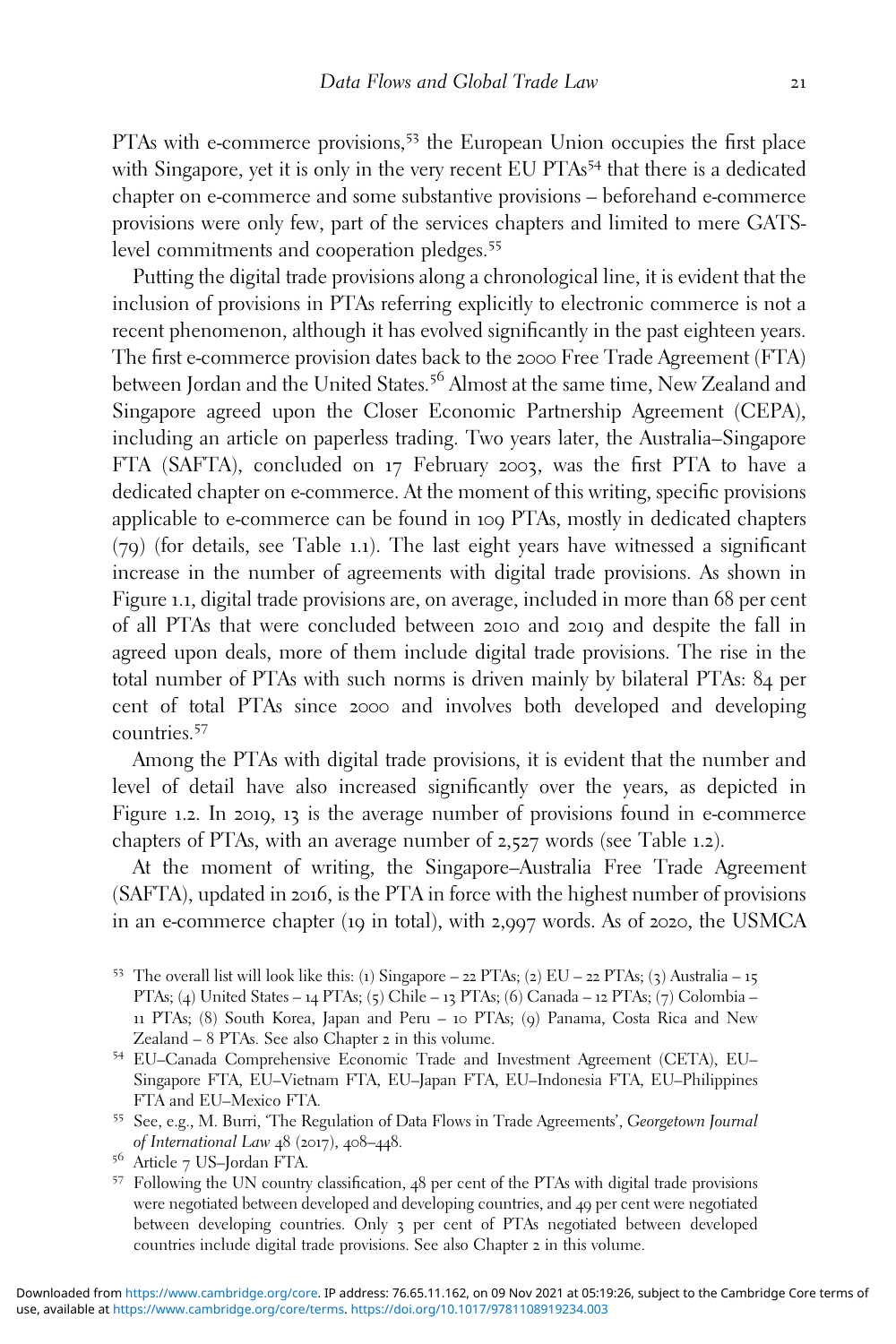PTAs with e-commerce provisions,<sup>53</sup> the European Union occupies the first place with Singapore, yet it is only in the very recent EU PTAs<sup>54</sup> that there is a dedicated chapter on e-commerce and some substantive provisions – beforehand e-commerce provisions were only few, part of the services chapters and limited to mere GATSlevel commitments and cooperation pledges.<sup>55</sup>

Putting the digital trade provisions along a chronological line, it is evident that the inclusion of provisions in PTAs referring explicitly to electronic commerce is not a recent phenomenon, although it has evolved significantly in the past eighteen years. The first e-commerce provision dates back to the 2000 Free Trade Agreement (FTA) between Jordan and the United States.<sup>56</sup> Almost at the same time, New Zealand and Singapore agreed upon the Closer Economic Partnership Agreement (CEPA), including an article on paperless trading. Two years later, the Australia–Singapore FTA (SAFTA), concluded on 17 February 2003, was the first PTA to have a dedicated chapter on e-commerce. At the moment of this writing, specific provisions applicable to e-commerce can be found in 109 PTAs, mostly in dedicated chapters (79) (for details, see Table 1.1). The last eight years have witnessed a significant increase in the number of agreements with digital trade provisions. As shown in Figure 1.1, digital trade provisions are, on average, included in more than 68 per cent of all PTAs that were concluded between 2010 and 2019 and despite the fall in agreed upon deals, more of them include digital trade provisions. The rise in the total number of PTAs with such norms is driven mainly by bilateral PTAs: 84 per cent of total PTAs since 2000 and involves both developed and developing countries.<sup>57</sup>

Among the PTAs with digital trade provisions, it is evident that the number and level of detail have also increased significantly over the years, as depicted in Figure 1.2. In 2019, 13 is the average number of provisions found in e-commerce chapters of PTAs, with an average number of 2,527 words (see Table 1.2).

At the moment of writing, the Singapore–Australia Free Trade Agreement (SAFTA), updated in 2016, is the PTA in force with the highest number of provisions in an e-commerce chapter (19 in total), with 2,997 words. As of 2020, the USMCA

- <sup>53</sup> The overall list will look like this: (1) Singapore 22 PTAs; (2) EU 22 PTAs; (3) Australia 15 PTAs; (4) United States – 14 PTAs; (5) Chile – 13 PTAs; (6) Canada – 12 PTAs; (7) Colombia – 11 PTAs; (8) South Korea, Japan and Peru – 10 PTAs; (9) Panama, Costa Rica and New Zealand – <sup>8</sup> PTAs. See also Chapter <sup>2</sup> in this volume. <sup>54</sup> EU–Canada Comprehensive Economic Trade and Investment Agreement (CETA), EU–
- Singapore FTA, EU–Vietnam FTA, EU–Japan FTA, EU–Indonesia FTA, EU–Philippines
- FTA and EU–Mexico FTA.<br><sup>55</sup> See, e.g., M. Burri, 'The Regulation of Data Flows in Trade Agreements', Georgetown Journal<br>of International Law 48 (2017), 408–448.
- 
- <sup>56</sup> Article 7 US–Jordan FTA.  $\overline{1}$ <br><sup>57</sup> Following the UN country classification, 48 per cent of the PTAs with digital trade provisions were negotiated between developed and developing countries, and 49 per cent were negotiated between developing countries. Only 3 per cent of PTAs negotiated between developed countries include digital trade provisions. See also Chapter 2 in this volume.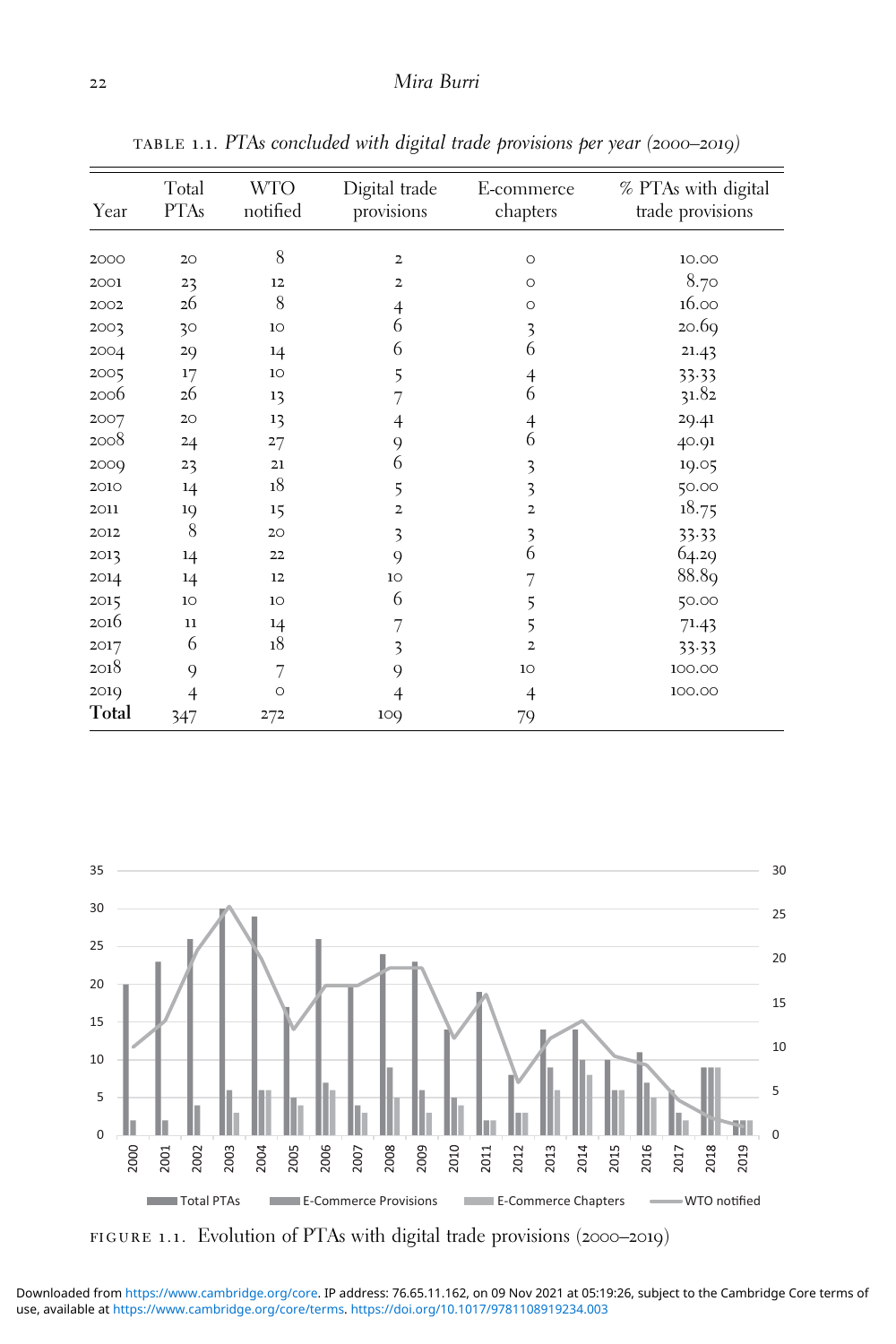| Year  | Total<br><b>PTAs</b> | <b>WTO</b><br>notified | Digital trade<br>provisions | E-commerce<br>chapters                | % PTAs with digital<br>trade provisions |
|-------|----------------------|------------------------|-----------------------------|---------------------------------------|-----------------------------------------|
|       |                      |                        |                             |                                       |                                         |
| 2000  | 20                   | 8                      | $\mathbf{2}$                | $\circ$                               | 10.00                                   |
| 2001  | 23                   | 12                     | $\overline{\mathbf{c}}$     | $\circ$                               | 8.70                                    |
| 2002  | 26                   | 8                      | 4                           | $\circ$                               | 16.00                                   |
| 2003  | 30                   | 10 <sup>o</sup>        | 6                           | $\overline{\mathbf{3}}$               | 20.69                                   |
| 2004  | 29                   | 14                     | 6                           | $\overline{6}$                        | 21.43                                   |
| 2005  | 17                   | 10 <sup>o</sup>        | 5                           |                                       | 33.33                                   |
| 2006  | 26                   | 13                     |                             | $\frac{4}{6}$                         | 31.82                                   |
| 2007  | 20                   | 13                     | 4                           |                                       | 29.41                                   |
| 2008  | 24                   | 27                     | 9                           | $\begin{array}{c} 4 \\ 6 \end{array}$ | 40.91                                   |
| 2009  | 23                   | 21                     | 6                           | 3                                     | 19.05                                   |
| 2010  | 14                   | 18                     | 5                           | 3                                     | 50.00                                   |
| 2011  | 19                   | 15                     | $\overline{2}$              | $\mathbf 2$                           | 18.75                                   |
| 2012  | 8                    | 20                     | 3                           |                                       | 33.33                                   |
| 2013  | $^{14}$              | 22                     | 9                           | $\frac{3}{6}$                         | 64.29                                   |
| 2014  | 14                   | 12                     | 10                          | 7                                     | 88.89                                   |
| 2015  | 10 <sup>°</sup>      | 10 <sub>o</sub>        | 6                           | 5                                     | 50.00                                   |
| 2016  | 11                   | $^{14}$                | 7                           | 5                                     | 71.43                                   |
| 2017  | 6                    | 18                     | 3                           | $\overline{2}$                        | 33.33                                   |
| 2018  | $\overline{Q}$       | 7                      | 9                           | 10                                    | 100.00                                  |
| 2019  | $\overline{4}$       | $\circ$                | 4                           | $\overline{4}$                        | 100.00                                  |
| Total | 347                  | 272                    | 100                         | 79                                    |                                         |

table 1.1. PTAs concluded with digital trade provisions per year (*2000*–*2019*)





use, available at [https://www.cambridge.org/core/terms.](https://www.cambridge.org/core/terms)<https://doi.org/10.1017/9781108919234.003> Downloaded from<https://www.cambridge.org/core>. IP address: 76.65.11.162, on 09 Nov 2021 at 05:19:26, subject to the Cambridge Core terms of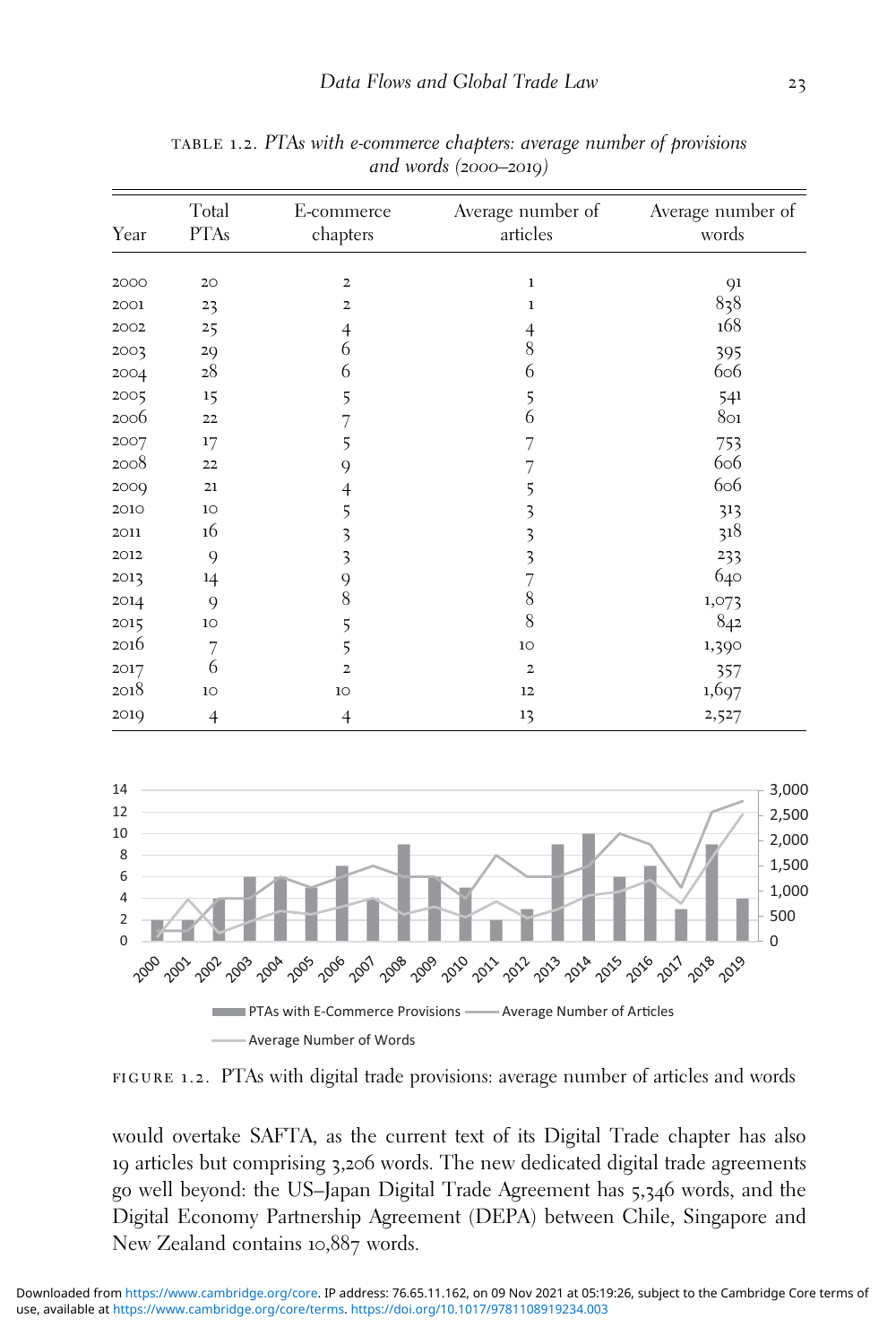| Year | Total<br><b>PTAs</b> | E-commerce<br>chapters | Average number of<br>articles | Average number of<br>words |
|------|----------------------|------------------------|-------------------------------|----------------------------|
|      |                      |                        |                               |                            |
| 2000 | 20                   | $\mathbf{2}$           | $\mathbf 1$                   | 91                         |
| 2001 | 23                   | 2                      | $\bf{1}$                      | 838                        |
| 2002 | 25                   | 4                      |                               | 168                        |
| 2003 | 29                   | 6                      | $\frac{4}{8}$                 | 395                        |
| 2004 | $\rm{28}$            | 6                      | 6                             | 606                        |
| 2005 | 15                   | 5                      | 5                             | 541                        |
| 2006 | 22                   | 7                      | 6                             | 801                        |
| 2007 | 17                   | 5                      | 7                             | 753                        |
| 2008 | 22                   | 9                      | 7                             | 606                        |
| 2009 | $21\,$               | 4                      | 5                             | 606                        |
| 2010 | 10 <sup>°</sup>      | 5                      | 3                             | 313                        |
| 2011 | 16                   | 3                      | 3                             | 318                        |
| 2012 | 9                    | 3                      | 3                             | 233                        |
| 2013 | 14                   | 9                      | 7                             | 640                        |
| 2014 | 9                    | 8                      | 8                             | 1,073                      |
| 2015 | 10                   | 5                      | 8                             | 842                        |
| 2016 | 7                    | 5                      | 10                            | 1,390                      |
| 2017 | 6                    | $\overline{2}$         | $\overline{2}$                | 357                        |
| 2018 | 10 <sup>o</sup>      | 10                     | 12                            | 1,697                      |
| 2019 | 4                    | $\overline{4}$         | 13                            | 2,527                      |

table 1.2. PTAs with e-commerce chapters: average number of provisions and words (*2000*–*2019*)



FIGURE 1.2. PTAs with digital trade provisions: average number of articles and words

would overtake SAFTA, as the current text of its Digital Trade chapter has also 19 articles but comprising 3,206 words. The new dedicated digital trade agreements go well beyond: the US–Japan Digital Trade Agreement has 5,346 words, and the Digital Economy Partnership Agreement (DEPA) between Chile, Singapore and New Zealand contains 10,887 words.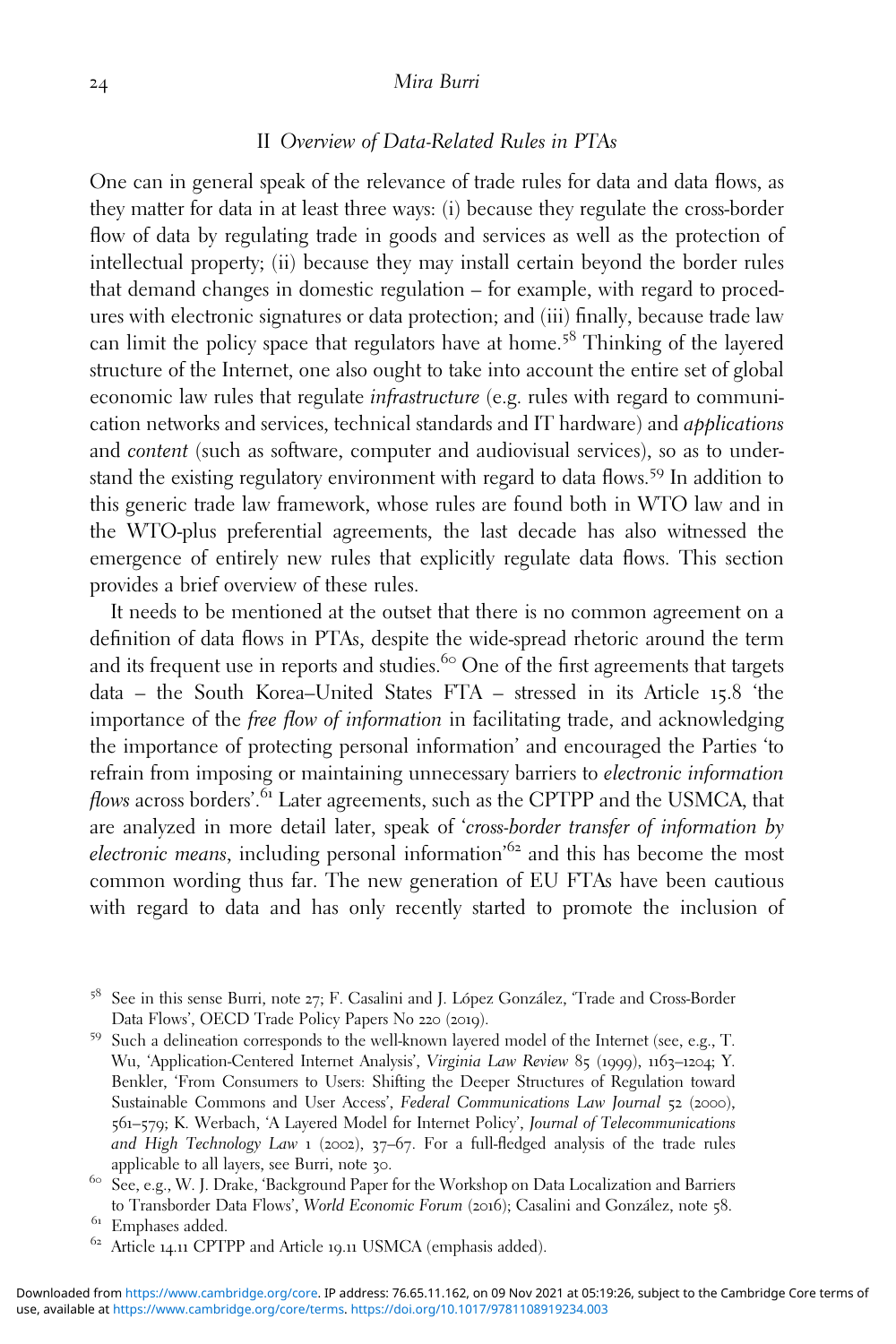## 24 Mira Burri

# II Overview of Data-Related Rules in PTAs

One can in general speak of the relevance of trade rules for data and data flows, as they matter for data in at least three ways: (i) because they regulate the cross-border flow of data by regulating trade in goods and services as well as the protection of intellectual property; (ii) because they may install certain beyond the border rules that demand changes in domestic regulation – for example, with regard to procedures with electronic signatures or data protection; and (iii) finally, because trade law can limit the policy space that regulators have at home.<sup>58</sup> Thinking of the layered structure of the Internet, one also ought to take into account the entire set of global economic law rules that regulate *infrastructure* (e.g. rules with regard to communication networks and services, technical standards and IT hardware) and applications and content (such as software, computer and audiovisual services), so as to understand the existing regulatory environment with regard to data flows.<sup>59</sup> In addition to this generic trade law framework, whose rules are found both in WTO law and in the WTO-plus preferential agreements, the last decade has also witnessed the emergence of entirely new rules that explicitly regulate data flows. This section provides a brief overview of these rules.

It needs to be mentioned at the outset that there is no common agreement on a definition of data flows in PTAs, despite the wide-spread rhetoric around the term and its frequent use in reports and studies.<sup>60</sup> One of the first agreements that targets data – the South Korea–United States FTA – stressed in its Article 15.8 'the importance of the free flow of information in facilitating trade, and acknowledging the importance of protecting personal information' and encouraged the Parties 'to refrain from imposing or maintaining unnecessary barriers to electronic information flows across borders'. <sup>61</sup> Later agreements, such as the CPTPP and the USMCA, that are analyzed in more detail later, speak of 'cross-border transfer of information by electronic means, including personal information<sup>162</sup> and this has become the most common wording thus far. The new generation of EU FTAs have been cautious with regard to data and has only recently started to promote the inclusion of

<sup>58</sup> See in this sense Burri, note <sup>27</sup>; F. Casalini and J. López González, 'Trade and Cross-Border Data Flows', OECD Trade Policy Papers No <sup>220</sup> (2019). <sup>59</sup> Such a delineation corresponds to the well-known layered model of the Internet (see, e.g., T.

Wu, 'Application-Centered Internet Analysis', Virginia Law Review 85 (1999), 1163–1204; Y. Benkler, 'From Consumers to Users: Shifting the Deeper Structures of Regulation toward Sustainable Commons and User Access', Federal Communications Law Journal 52 (2000), 561–579; K. Werbach, 'A Layered Model for Internet Policy', Journal of Telecommunications and High Technology Law  $_1$  (2002), 37–67. For a full-fledged analysis of the trade rules applicable to all layers, see Burri, note 30.  $\degree$  See, e.g., W. J. Drake, 'Background Paper for the Workshop on Data Localization and Barriers

to Transborder Data Flows', World Economic Forum (2016); Casalini and González, note 58.<br><sup>61</sup> Emphases added. 62 Article 14.11 CPTPP and Article 19.11 USMCA (emphasis added).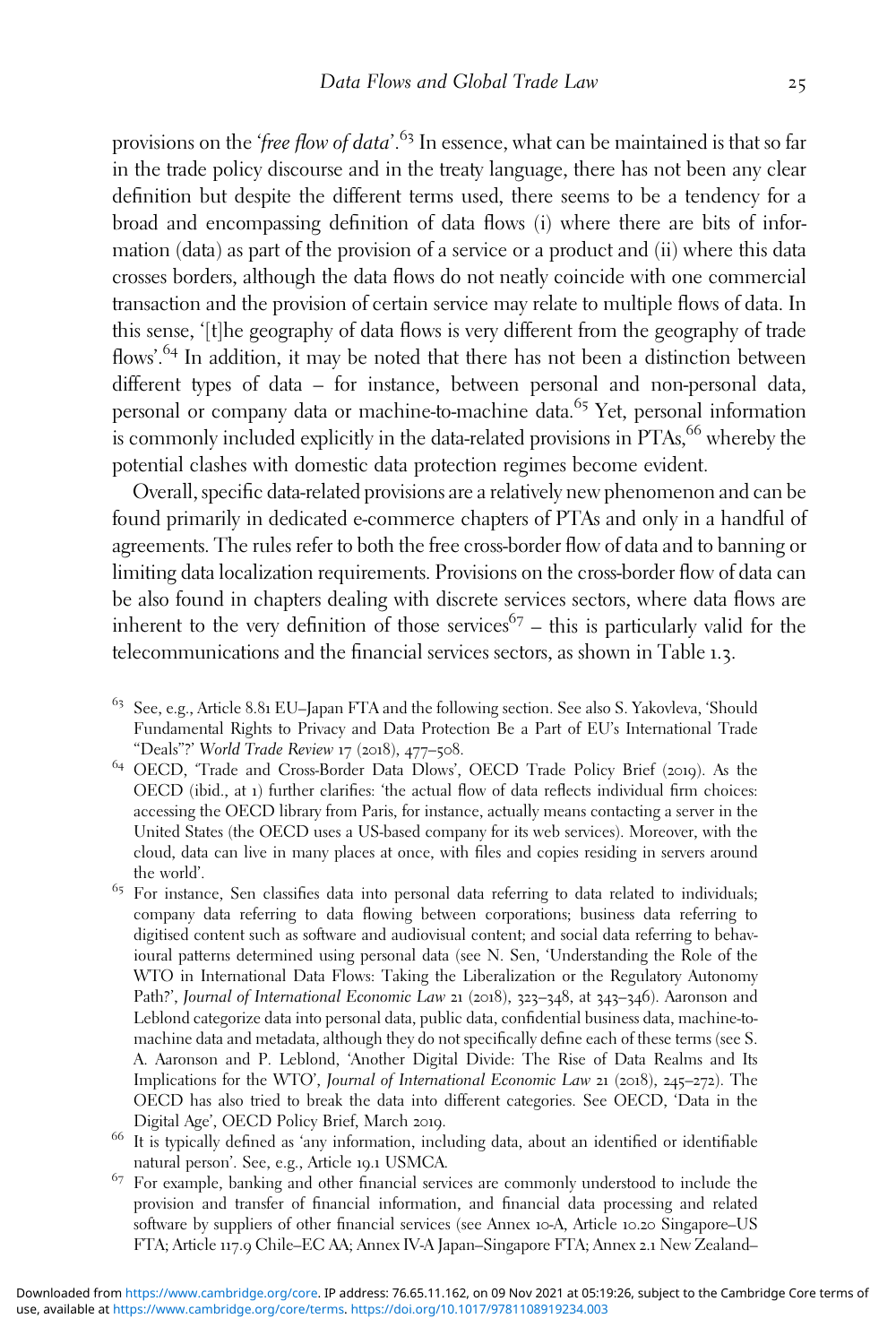provisions on the 'free flow of data'.<sup>63</sup> In essence, what can be maintained is that so far in the trade policy discourse and in the treaty language, there has not been any clear definition but despite the different terms used, there seems to be a tendency for a broad and encompassing definition of data flows (i) where there are bits of information (data) as part of the provision of a service or a product and (ii) where this data crosses borders, although the data flows do not neatly coincide with one commercial transaction and the provision of certain service may relate to multiple flows of data. In this sense, '[t]he geography of data flows is very different from the geography of trade flows'.<sup>64</sup> In addition, it may be noted that there has not been a distinction between different types of data – for instance, between personal and non-personal data, personal or company data or machine-to-machine data.<sup>65</sup> Yet, personal information is commonly included explicitly in the data-related provisions in PTAs,<sup>66</sup> whereby the potential clashes with domestic data protection regimes become evident.

Overall, specific data-related provisions are a relatively new phenomenon and can be found primarily in dedicated e-commerce chapters of PTAs and only in a handful of agreements. The rules refer to both the free cross-border flow of data and to banning or limiting data localization requirements. Provisions on the cross-border flow of data can be also found in chapters dealing with discrete services sectors, where data flows are inherent to the very definition of those services<sup>67</sup> – this is particularly valid for the telecommunications and the financial services sectors, as shown in Table 1.3.

<sup>63</sup> See, e.g., Article 8.81 EU-Japan FTA and the following section. See also S. Yakovleva, 'Should Fundamental Rights to Privacy and Data Protection Be a Part of EU's International Trade "Deals"?' World Trade Review 17 (2018), 477–508.<br><sup>64</sup> OECD, 'Trade and Cross-Border Data Dlows', OECD Trade Policy Brief (2019). As the

- OECD (ibid., at 1) further clarifies: 'the actual flow of data reflects individual firm choices: accessing the OECD library from Paris, for instance, actually means contacting a server in the United States (the OECD uses a US-based company for its web services). Moreover, with the cloud, data can live in many places at once, with files and copies residing in servers around the world'. <sup>65</sup> For instance, Sen classifies data into personal data referring to data related to individuals;
- company data referring to data flowing between corporations; business data referring to digitised content such as software and audiovisual content; and social data referring to behavioural patterns determined using personal data (see N. Sen, 'Understanding the Role of the WTO in International Data Flows: Taking the Liberalization or the Regulatory Autonomy Path?', Journal of International Economic Law 21 (2018), 323-348, at 343-346). Aaronson and Leblond categorize data into personal data, public data, confidential business data, machine-tomachine data and metadata, although they do not specifically define each of these terms (see S. A. Aaronson and P. Leblond, 'Another Digital Divide: The Rise of Data Realms and Its Implications for the WTO', Journal of International Economic Law 21 (2018), 245–272). The OECD has also tried to break the data into different categories. See OECD, 'Data in the Digital Age', OECD Policy Brief, March <sup>2019</sup>. <sup>66</sup> It is typically defined as 'any information, including data, about an identified or identifiable
- natural person'. See, e.g., Article 19.1 USMCA.
- <sup>67</sup> For example, banking and other financial services are commonly understood to include the provision and transfer of financial information, and financial data processing and related software by suppliers of other financial services (see Annex 10-A, Article 10.20 Singapore–US FTA; Article 117.9 Chile–EC AA; Annex IV-A Japan–Singapore FTA; Annex 2.1 New Zealand–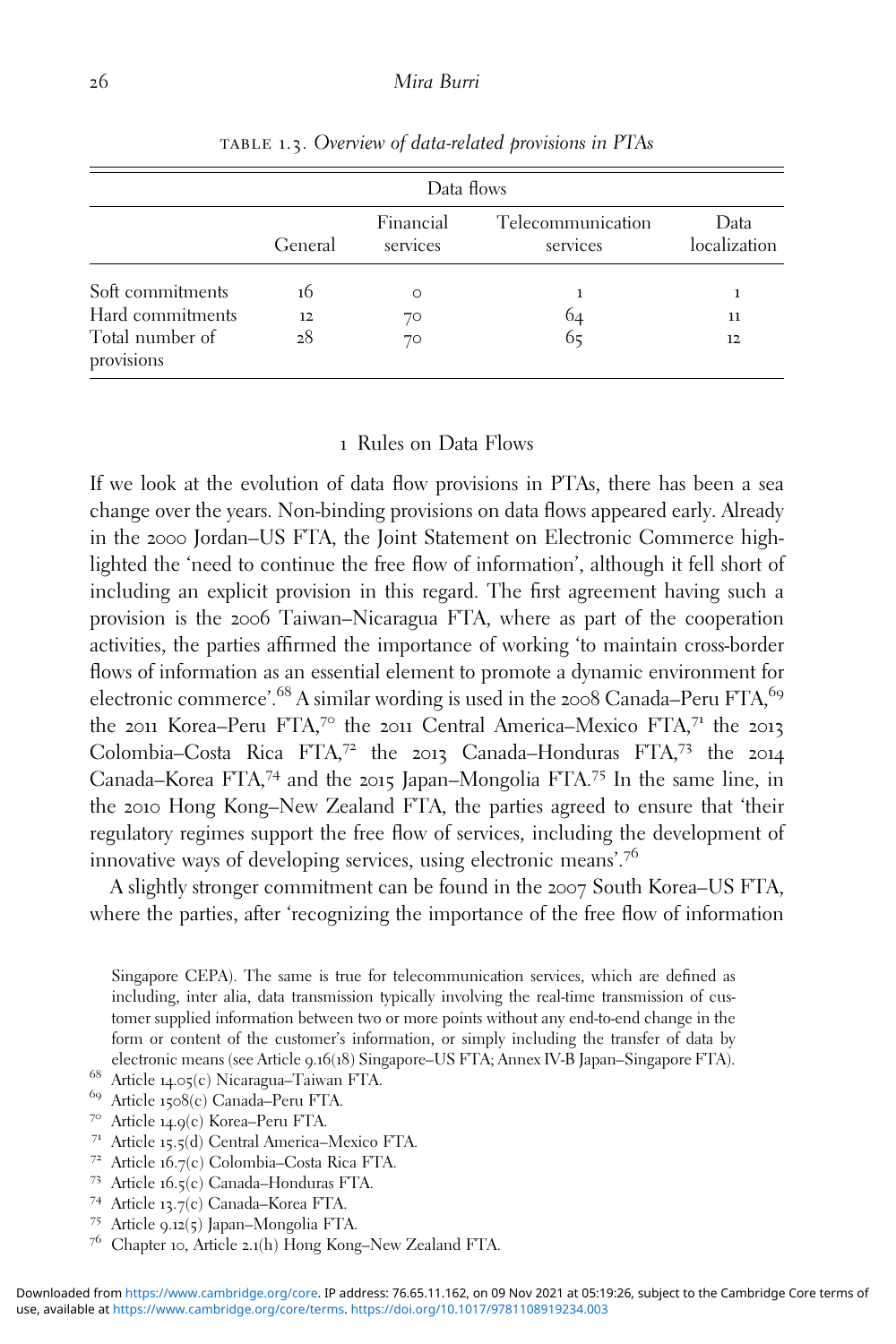|                               | Data flows |                       |                               |                      |
|-------------------------------|------------|-----------------------|-------------------------------|----------------------|
|                               | General    | Financial<br>services | Telecommunication<br>services | Data<br>localization |
| Soft commitments              | 16         | $\Omega$              |                               |                      |
| Hard commitments              | 12         | 70                    | 64                            | 11                   |
| Total number of<br>provisions | 28         | 70                    | 65                            | 12                   |

table 1.3. Overview of data-related provisions in PTAs

## 1 Rules on Data Flows

If we look at the evolution of data flow provisions in PTAs, there has been a sea change over the years. Non-binding provisions on data flows appeared early. Already in the 2000 Jordan–US FTA, the Joint Statement on Electronic Commerce highlighted the 'need to continue the free flow of information', although it fell short of including an explicit provision in this regard. The first agreement having such a provision is the 2006 Taiwan–Nicaragua FTA, where as part of the cooperation activities, the parties affirmed the importance of working 'to maintain cross-border flows of information as an essential element to promote a dynamic environment for electronic commerce'.<sup>68</sup> A similar wording is used in the 2008 Canada–Peru FTA,<sup>69</sup> the 2011 Korea–Peru FTA,<sup>70</sup> the 2011 Central America–Mexico FTA,<sup>71</sup> the 2013 Colombia–Costa Rica FTA,<sup>72</sup> the <sup>2013</sup> Canada–Honduras FTA,<sup>73</sup> the <sup>2014</sup> Canada–Korea FTA,<sup>74</sup> and the <sup>2015</sup> Japan–Mongolia FTA.<sup>75</sup> In the same line, in the 2010 Hong Kong–New Zealand FTA, the parties agreed to ensure that 'their regulatory regimes support the free flow of services, including the development of innovative ways of developing services, using electronic means'. 76

A slightly stronger commitment can be found in the 2007 South Korea–US FTA, where the parties, after 'recognizing the importance of the free flow of information

Singapore CEPA). The same is true for telecommunication services, which are defined as including, inter alia, data transmission typically involving the real-time transmission of customer supplied information between two or more points without any end-to-end change in the form or content of the customer's information, or simply including the transfer of data by electronic means (see Article 9.16(18) Singapore–US FTA; Annex IV-B Japan–Singapore FTA).<br>  $^{68}$ Article 1508(c) Canada–Peru FTA.<br>  $^{69}$ Article 1508(c) Canada–Peru FTA.

- 
- 
- 
- <sup>70</sup> Article 14.9(c) Korea–Peru FTA.<br><sup>71</sup> Article 15.5(d) Central America–Mexico FTA.<br><sup>72</sup> Article 16.7(c) Colombia–Costa Rica FTA.<br><sup>73</sup> Article 16.5(c) Canada–Honduras FTA.<br><sup>74</sup> Article 13.7(c) Canada–Korea FTA.<br><sup>75</sup> Arti
- 
- 
- 
- 
- <sup>76</sup> Chapter <sup>10</sup>, Article <sup>2</sup>.1(h) Hong Kong–New Zealand FTA.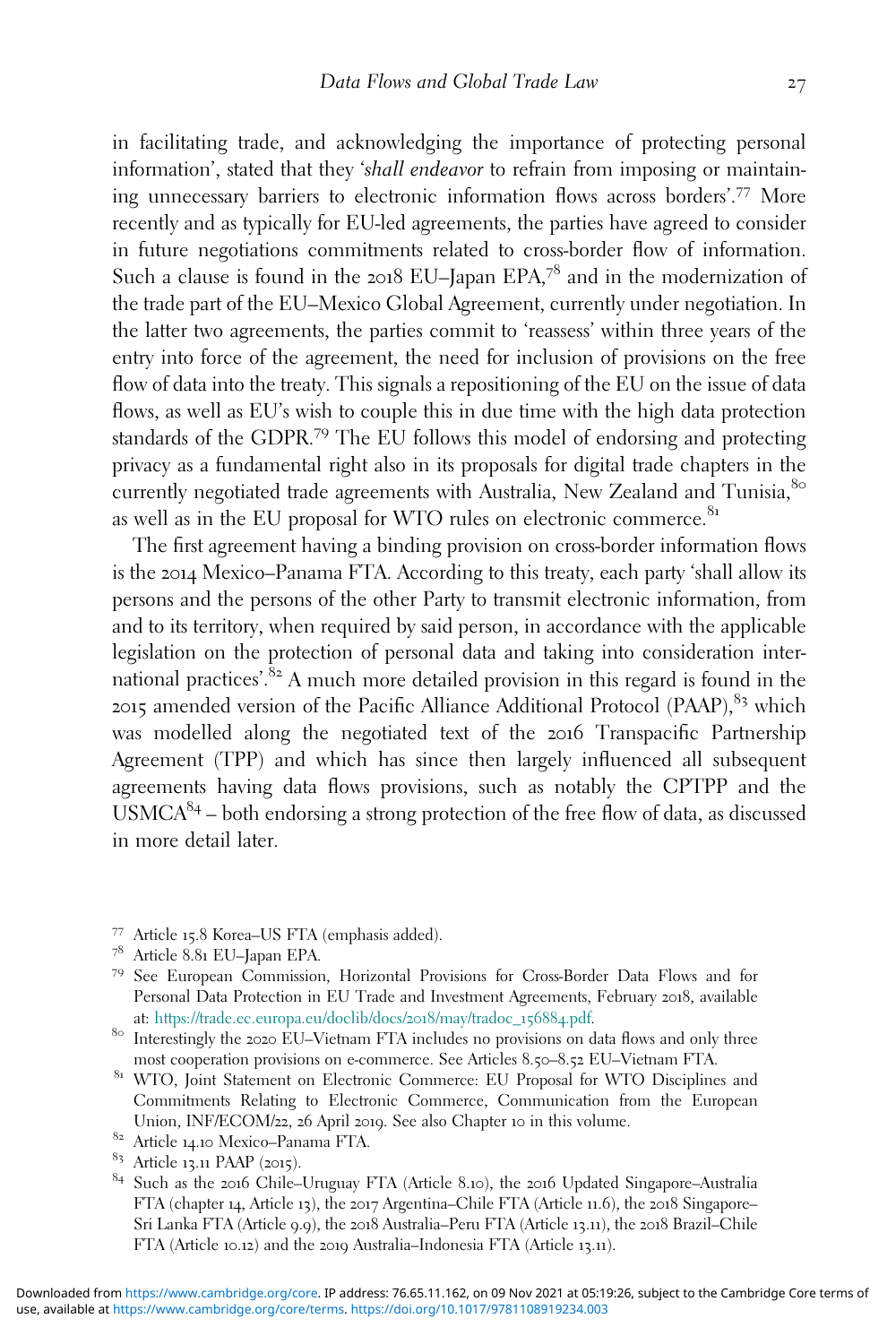in facilitating trade, and acknowledging the importance of protecting personal information', stated that they 'shall endeavor to refrain from imposing or maintaining unnecessary barriers to electronic information flows across borders'. <sup>77</sup> More recently and as typically for EU-led agreements, the parties have agreed to consider in future negotiations commitments related to cross-border flow of information. Such a clause is found in the 2018 EU–Japan EPA,<sup>78</sup> and in the modernization of the trade part of the EU–Mexico Global Agreement, currently under negotiation. In the latter two agreements, the parties commit to 'reassess' within three years of the entry into force of the agreement, the need for inclusion of provisions on the free flow of data into the treaty. This signals a repositioning of the EU on the issue of data flows, as well as EU's wish to couple this in due time with the high data protection standards of the GDPR.<sup>79</sup> The EU follows this model of endorsing and protecting privacy as a fundamental right also in its proposals for digital trade chapters in the currently negotiated trade agreements with Australia, New Zealand and Tunisia, <sup>80</sup> as well as in the EU proposal for WTO rules on electronic commerce.<sup>81</sup>

The first agreement having a binding provision on cross-border information flows is the 2014 Mexico–Panama FTA. According to this treaty, each party 'shall allow its persons and the persons of the other Party to transmit electronic information, from and to its territory, when required by said person, in accordance with the applicable legislation on the protection of personal data and taking into consideration international practices'. <sup>82</sup> A much more detailed provision in this regard is found in the 2015 amended version of the Pacific Alliance Additional Protocol (PAAP), <sup>83</sup> which was modelled along the negotiated text of the 2016 Transpacific Partnership Agreement (TPP) and which has since then largely influenced all subsequent agreements having data flows provisions, such as notably the CPTPP and the USMCA $^{84}$  – both endorsing a strong protection of the free flow of data, as discussed in more detail later.

- $^{77}$  Article 15.8 Korea–US FTA (emphasis added).  $^{78}$  Article 8.81 EU–Japan EPA.
- 
- <sup>79</sup> See European Commission, Horizontal Provisions for Cross-Border Data Flows and for Personal Data Protection in EU Trade and Investment Agreements, February 2018, available at: [https://trade.ec.europa.eu/doclib/docs/](https://trade.ec.europa.eu/doclib/docs/2018/may/tradoc_156884.pdf)2018/may/tradoc\_156884.pdf. <sup>80</sup> Interestingly the <sup>2020</sup> EU–Vietnam FTA includes no provisions on data flows and only three
- 
- most cooperation provisions on e-commerce. See Articles <sup>8</sup>.50–8.<sup>52</sup> EU–Vietnam FTA. <sup>81</sup> WTO, Joint Statement on Electronic Commerce: EU Proposal for WTO Disciplines and Commitments Relating to Electronic Commerce, Communication from the European Union, INF/ECOM/22, <sup>26</sup> April <sup>2019</sup>. See also Chapter <sup>10</sup> in this volume. <sup>82</sup> Article <sup>14</sup>.<sup>10</sup> Mexico–Panama FTA.
- 
- <sup>83</sup> Article <sup>13</sup>.<sup>11</sup> PAAP (2015).
- <sup>84</sup> Such as the <sup>2016</sup> Chile–Uruguay FTA (Article <sup>8</sup>.10), the <sup>2016</sup> Updated Singapore–Australia FTA (chapter 14, Article 13), the 2017 Argentina–Chile FTA (Article 11.6), the 2018 Singapore– Sri Lanka FTA (Article 9.9), the 2018 Australia–Peru FTA (Article 13.11), the 2018 Brazil–Chile FTA (Article 10.12) and the 2019 Australia–Indonesia FTA (Article 13.11).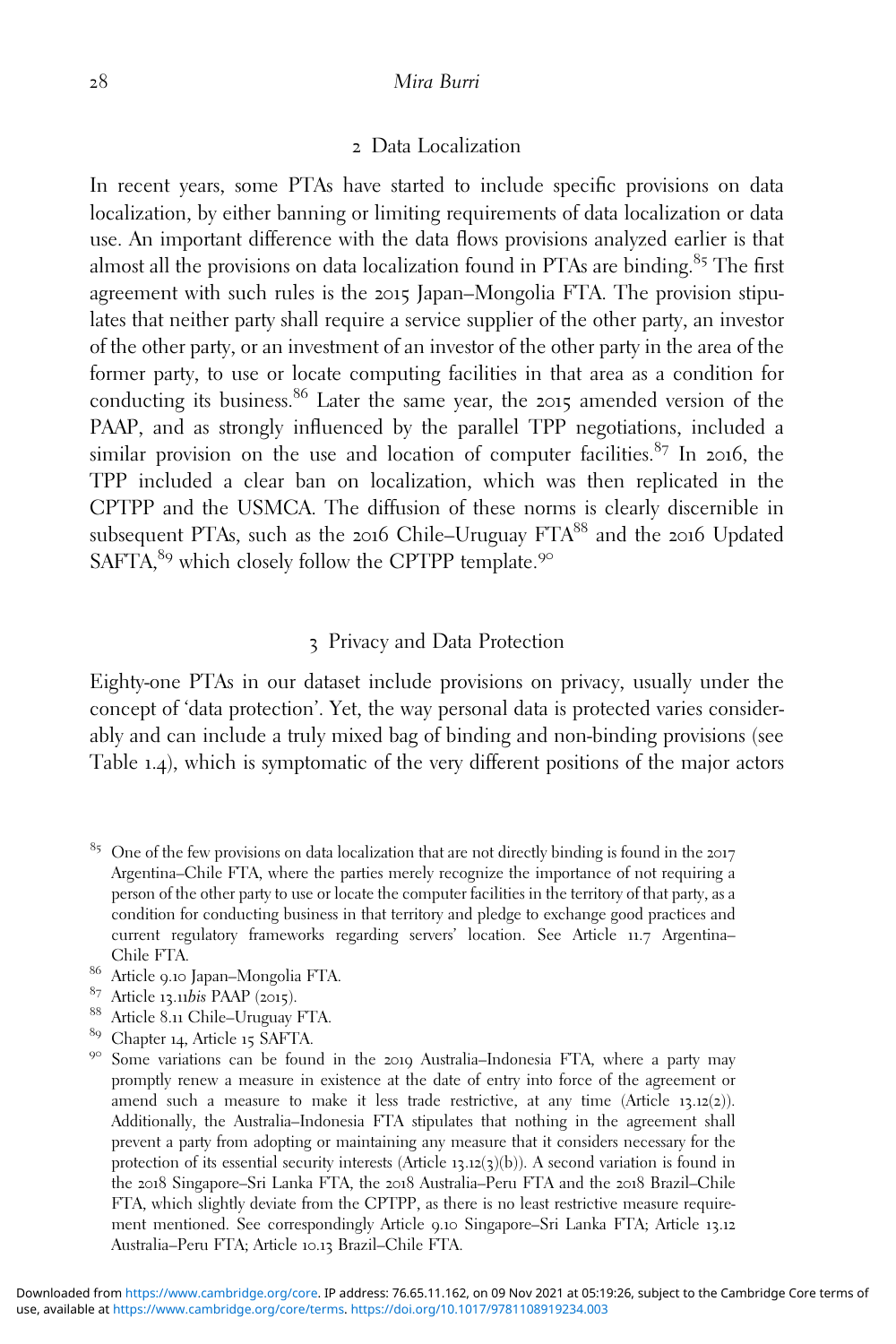# 2 Data Localization

In recent years, some PTAs have started to include specific provisions on data localization, by either banning or limiting requirements of data localization or data use. An important difference with the data flows provisions analyzed earlier is that almost all the provisions on data localization found in PTAs are binding.<sup>85</sup> The first agreement with such rules is the 2015 Japan–Mongolia FTA. The provision stipulates that neither party shall require a service supplier of the other party, an investor of the other party, or an investment of an investor of the other party in the area of the former party, to use or locate computing facilities in that area as a condition for conducting its business.<sup>86</sup> Later the same year, the 2015 amended version of the PAAP, and as strongly influenced by the parallel TPP negotiations, included a similar provision on the use and location of computer facilities.<sup>87</sup> In 2016, the TPP included a clear ban on localization, which was then replicated in the CPTPP and the USMCA. The diffusion of these norms is clearly discernible in subsequent PTAs, such as the 2016 Chile-Uruguay FTA<sup>88</sup> and the 2016 Updated SAFTA, $^{89}$  which closely follow the CPTPP template. $^{90}$ 

# 3 Privacy and Data Protection

Eighty-one PTAs in our dataset include provisions on privacy, usually under the concept of 'data protection'. Yet, the way personal data is protected varies considerably and can include a truly mixed bag of binding and non-binding provisions (see Table 1.4), which is symptomatic of the very different positions of the major actors

<sup>85</sup> One of the few provisions on data localization that are not directly binding is found in the 2017 Argentina–Chile FTA, where the parties merely recognize the importance of not requiring a person of the other party to use or locate the computer facilities in the territory of that party, as a condition for conducting business in that territory and pledge to exchange good practices and current regulatory frameworks regarding servers' location. See Article 11.7 Argentina– Chile FTA.<br><sup>86</sup> Article 9.10 Japan–Mongolia FTA.<br><sup>87</sup> Article 13.11*bis* PAAP (2015).

- 
- 
- <sup>88</sup> Article 8.11 Chile–Uruguay FTA.<br><sup>89</sup> Chapter 14, Article 15 SAFTA.
- 
- <sup>90</sup> Some variations can be found in the 2019 Australia–Indonesia FTA, where a party may promptly renew a measure in existence at the date of entry into force of the agreement or amend such a measure to make it less trade restrictive, at any time (Article 13.12(2)). Additionally, the Australia–Indonesia FTA stipulates that nothing in the agreement shall prevent a party from adopting or maintaining any measure that it considers necessary for the protection of its essential security interests (Article 13.12(3)(b)). A second variation is found in the 2018 Singapore–Sri Lanka FTA, the 2018 Australia–Peru FTA and the 2018 Brazil–Chile FTA, which slightly deviate from the CPTPP, as there is no least restrictive measure requirement mentioned. See correspondingly Article 9.10 Singapore–Sri Lanka FTA; Article 13.12 Australia–Peru FTA; Article 10.13 Brazil–Chile FTA.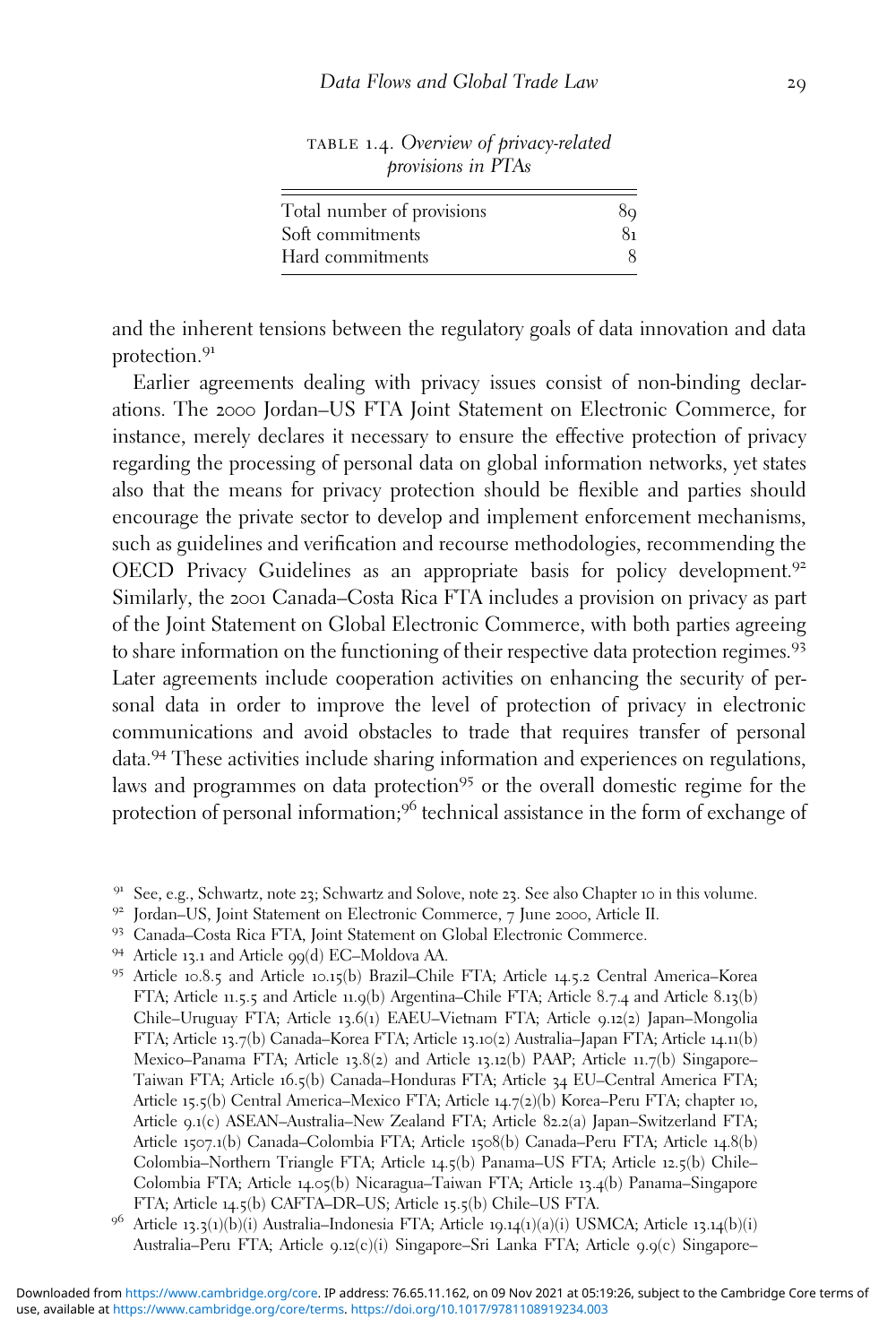|  | TABLE 1.4. Overview of privacy-related |
|--|----------------------------------------|
|  | <i>provisions in PTAs</i>              |

| Total number of provisions | 89 |
|----------------------------|----|
| Soft commitments           | 81 |
| Hard commitments           |    |

and the inherent tensions between the regulatory goals of data innovation and data protection.<sup>91</sup>

Earlier agreements dealing with privacy issues consist of non-binding declarations. The 2000 Jordan–US FTA Joint Statement on Electronic Commerce, for instance, merely declares it necessary to ensure the effective protection of privacy regarding the processing of personal data on global information networks, yet states also that the means for privacy protection should be flexible and parties should encourage the private sector to develop and implement enforcement mechanisms, such as guidelines and verification and recourse methodologies, recommending the OECD Privacy Guidelines as an appropriate basis for policy development.<sup>92</sup> Similarly, the 2001 Canada–Costa Rica FTA includes a provision on privacy as part of the Joint Statement on Global Electronic Commerce, with both parties agreeing to share information on the functioning of their respective data protection regimes.<sup>93</sup> Later agreements include cooperation activities on enhancing the security of personal data in order to improve the level of protection of privacy in electronic communications and avoid obstacles to trade that requires transfer of personal data.<sup>94</sup> These activities include sharing information and experiences on regulations, laws and programmes on data protection<sup>95</sup> or the overall domestic regime for the protection of personal information;<sup>96</sup> technical assistance in the form of exchange of

<sup>&</sup>lt;sup>91</sup> See, e.g., Schwartz, note 23; Schwartz and Solove, note 23. See also Chapter 10 in this volume.<br><sup>92</sup> Jordan–US, Joint Statement on Electronic Commerce, 7 June 2000, Article II.<br><sup>93</sup> Canada–Costa Rica FTA, Joint State FTA; Article 11.5.5 and Article 11.9(b) Argentina–Chile FTA; Article 8.7.4 and Article 8.13(b) Chile–Uruguay FTA; Article 13.6(1) EAEU–Vietnam FTA; Article 9.12(2) Japan–Mongolia FTA; Article 13.7(b) Canada–Korea FTA; Article 13.10(2) Australia–Japan FTA; Article 14.11(b) Mexico–Panama FTA; Article 13.8(2) and Article 13.12(b) PAAP; Article 11.7(b) Singapore– Taiwan FTA; Article 16.5(b) Canada–Honduras FTA; Article 34 EU–Central America FTA; Article 15.5(b) Central America–Mexico FTA; Article 14.7(2)(b) Korea–Peru FTA; chapter 10, Article 9.1(c) ASEAN–Australia–New Zealand FTA; Article 82.2(a) Japan–Switzerland FTA; Article 1507.1(b) Canada–Colombia FTA; Article 1508(b) Canada–Peru FTA; Article 14.8(b) Colombia–Northern Triangle FTA; Article 14.5(b) Panama–US FTA; Article 12.5(b) Chile– Colombia FTA; Article 14.05(b) Nicaragua–Taiwan FTA; Article 13.4(b) Panama–Singapore FTA; Article 14.5(b) CAFTA–DR–US; Article 15.5(b) Chile–US FTA.

<sup>96</sup> Article <sup>13</sup>.3(1)(b)(i) Australia–Indonesia FTA; Article <sup>19</sup>.14(1)(a)(i) USMCA; Article <sup>13</sup>.14(b)(i) Australia–Peru FTA; Article 9.12(c)(i) Singapore–Sri Lanka FTA; Article 9.9(c) Singapore–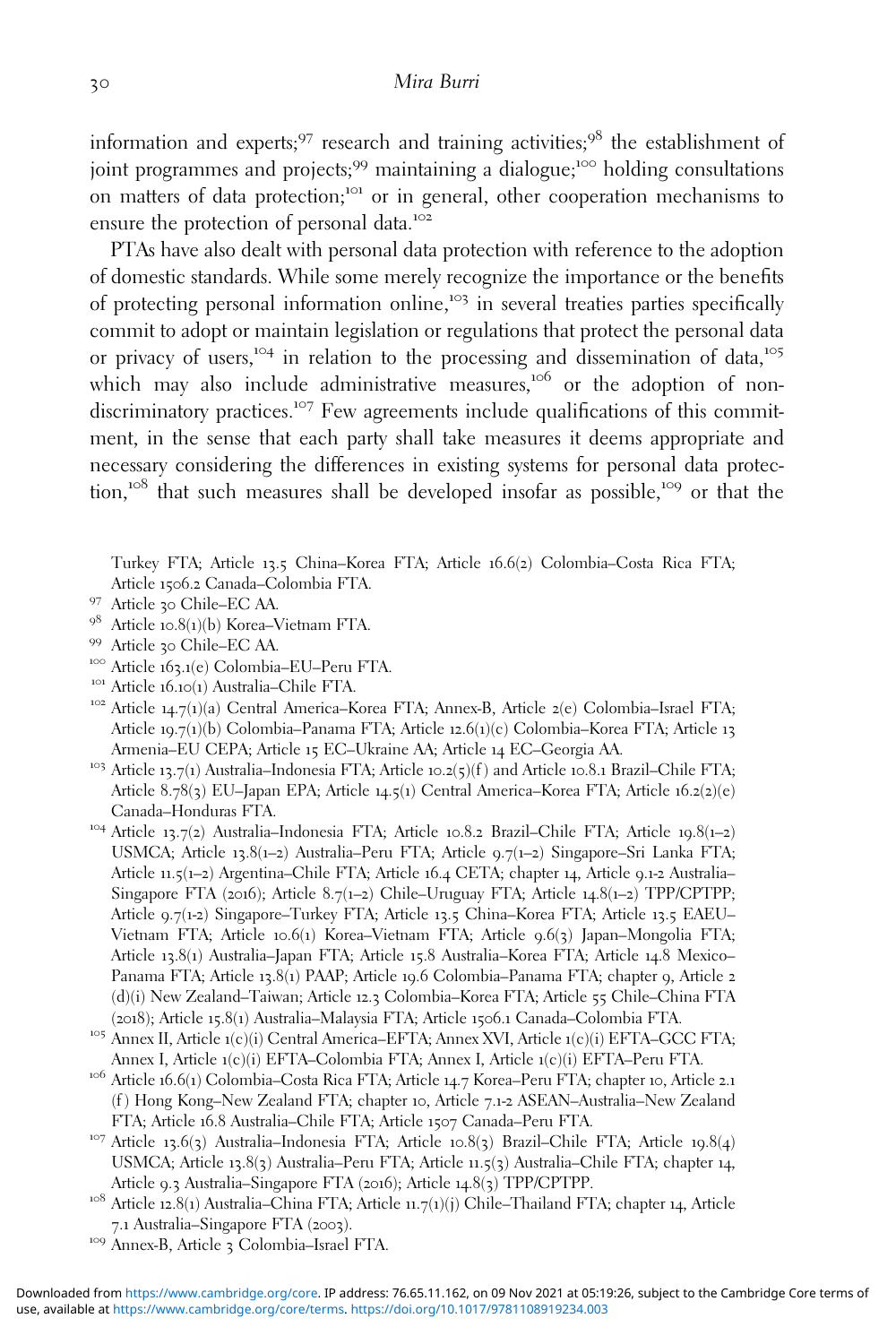information and experts; $97$  research and training activities; $98$  the establishment of joint programmes and projects;<sup>99</sup> maintaining a dialogue;<sup>100</sup> holding consultations on matters of data protection;<sup>101</sup> or in general, other cooperation mechanisms to ensure the protection of personal data.<sup>102</sup>

PTAs have also dealt with personal data protection with reference to the adoption of domestic standards. While some merely recognize the importance or the benefits of protecting personal information online,<sup>103</sup> in several treaties parties specifically commit to adopt or maintain legislation or regulations that protect the personal data or privacy of users,<sup>104</sup> in relation to the processing and dissemination of data,<sup>105</sup> which may also include administrative measures,<sup>106</sup> or the adoption of nondiscriminatory practices.<sup>107</sup> Few agreements include qualifications of this commitment, in the sense that each party shall take measures it deems appropriate and necessary considering the differences in existing systems for personal data protection,<sup>108</sup> that such measures shall be developed insofar as possible,<sup>109</sup> or that the

Turkey FTA; Article 13.5 China–Korea FTA; Article 16.6(2) Colombia–Costa Rica FTA;

- Article 1506.2 Canada–Colombia FTA.<br>
97 Article 30 Chile–EC AA.<br>
98 Article 10.8(1)(b) Korea–Vietnam FTA.
- 
- 
- 
- 
- 

99 Article 30 Chile–EC AA.<br><sup>100</sup> Article 163.1(e) Colombia–EU–Peru FTA.<br><sup>101</sup> Article 16.10(1) Australia–Chile FTA.<br><sup>102</sup> Article 14.7(1)(a) Central America–Korea FTA; Annex-B, Article 2(e) Colombia–Israel FTA; Article 19.7(1)(b) Colombia–Panama FTA; Article 12.6(1)(c) Colombia–Korea FTA; Article 13 Armenia–EU CEPA; Article 15 EC–Ukraine AA; Article 14 EC–Georgia AA.<br><sup>103</sup> Article 13.7(1) Australia–Indonesia FTA; Article 10.2(5)(f) and Article 10.8.1 Brazil–Chile FTA;

- Article 8.78(3) EU–Japan EPA; Article 14.5(1) Central America–Korea FTA; Article 16.2(2)(e) Canada–Honduras FTA. <sup>104</sup> Article <sup>13</sup>.7(2) Australia–Indonesia FTA; Article <sup>10</sup>.8.<sup>2</sup> Brazil–Chile FTA; Article <sup>19</sup>.8(1–2)
- USMCA; Article 13.8(1–2) Australia–Peru FTA; Article 9.7(1–2) Singapore–Sri Lanka FTA; Article 11.5(1–2) Argentina–Chile FTA; Article 16.4 CETA; chapter 14, Article 9.1-2 Australia– Singapore FTA (2016); Article 8.7(1–2) Chile–Uruguay FTA; Article 14.8(1–2) TPP/CPTPP; Article 9.7(1-2) Singapore–Turkey FTA; Article 13.5 China–Korea FTA; Article 13.5 EAEU– Vietnam FTA; Article 10.6(1) Korea–Vietnam FTA; Article 9.6(3) Japan–Mongolia FTA; Article 13.8(1) Australia–Japan FTA; Article 15.8 Australia–Korea FTA; Article 14.8 Mexico– Panama FTA; Article 13.8(1) PAAP; Article 19.6 Colombia–Panama FTA; chapter 9, Article 2 (d)(i) New Zealand–Taiwan; Article 12.3 Colombia–Korea FTA; Article 55 Chile–China FTA
- (2018); Article <sup>15</sup>.8(1) Australia–Malaysia FTA; Article <sup>1506</sup>.<sup>1</sup> Canada–Colombia FTA. <sup>105</sup> Annex II, Article <sup>1</sup>(c)(i) Central America–EFTA; Annex XVI, Article <sup>1</sup>(c)(i) EFTA–GCC FTA; Annex I, Article <sup>1</sup>(c)(i) EFTA–Colombia FTA; Annex I, Article <sup>1</sup>(c)(i) EFTA–Peru FTA. <sup>106</sup> Article <sup>16</sup>.6(1) Colombia–Costa Rica FTA; Article <sup>14</sup>.<sup>7</sup> Korea–Peru FTA; chapter <sup>10</sup>, Article <sup>2</sup>.<sup>1</sup>
- (f ) Hong Kong–New Zealand FTA; chapter 10, Article 7.1-2 ASEAN–Australia–New Zealand FTA; Article <sup>16</sup>.<sup>8</sup> Australia–Chile FTA; Article <sup>1507</sup> Canada–Peru FTA. <sup>107</sup> Article <sup>13</sup>.6(3) Australia–Indonesia FTA; Article <sup>10</sup>.8(3) Brazil–Chile FTA; Article <sup>19</sup>.8(4)
- USMCA; Article 13.8(3) Australia–Peru FTA; Article 11.5(3) Australia–Chile FTA; chapter 14,
- Article 9.3 Australia–Singapore FTA (2016); Article 14.8(3) TPP/CPTPP.<br><sup>108</sup> Article 12.8(1) Australia–China FTA; Article 11.7(1)(j) Chile–Thailand FTA; chapter 14, Article<br>7.1 Australia–Singapore FTA (2003).
- <sup>109</sup> Annex-B, Article 3 Colombia–Israel FTA.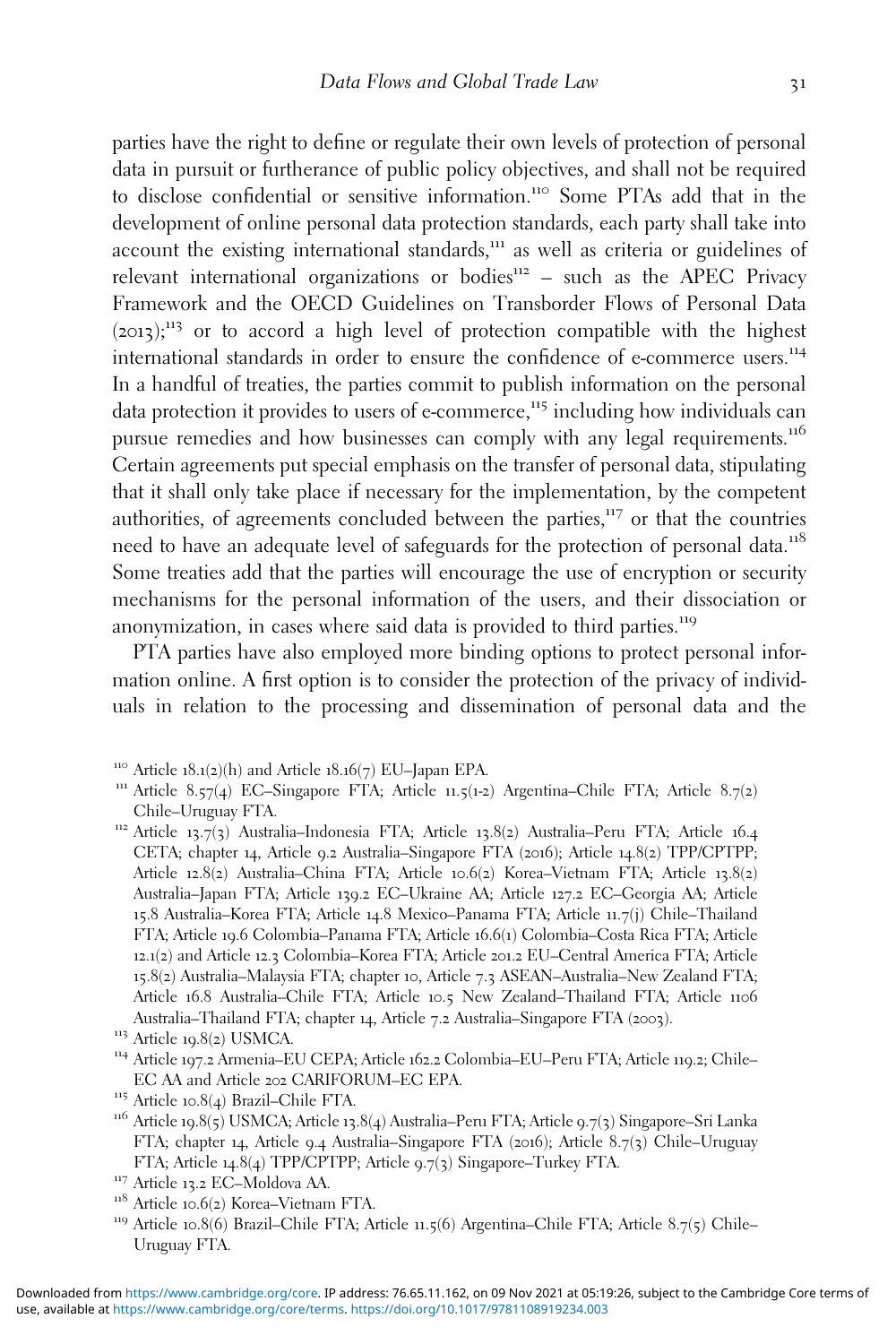parties have the right to define or regulate their own levels of protection of personal data in pursuit or furtherance of public policy objectives, and shall not be required to disclose confidential or sensitive information.<sup>110</sup> Some PTAs add that in the development of online personal data protection standards, each party shall take into account the existing international standards, $11$  as well as criteria or guidelines of relevant international organizations or bodies $12$  – such as the APEC Privacy Framework and the OECD Guidelines on Transborder Flows of Personal Data  $(2013)$ ;<sup>113</sup> or to accord a high level of protection compatible with the highest international standards in order to ensure the confidence of e-commerce users.<sup>114</sup> In a handful of treaties, the parties commit to publish information on the personal data protection it provides to users of e-commerce, $15$  including how individuals can pursue remedies and how businesses can comply with any legal requirements.<sup>116</sup> Certain agreements put special emphasis on the transfer of personal data, stipulating that it shall only take place if necessary for the implementation, by the competent authorities, of agreements concluded between the parties, $17$  or that the countries need to have an adequate level of safeguards for the protection of personal data.<sup>118</sup> Some treaties add that the parties will encourage the use of encryption or security mechanisms for the personal information of the users, and their dissociation or anonymization, in cases where said data is provided to third parties.<sup>119</sup>

PTA parties have also employed more binding options to protect personal information online. A first option is to consider the protection of the privacy of individuals in relation to the processing and dissemination of personal data and the

FTA; chapter 14, Article 9.4 Australia–Singapore FTA (2016); Article 8.7(3) Chile–Uruguay FTA; Article 14.8(4) TPP/CPTPP; Article 9.7(3) Singapore–Turkey FTA.<br>
<sup>117</sup> Article 13.2 EC–Moldova AA.<br>
<sup>118</sup> Article 10.6(2) Korea–Vietnam FTA.<br>
<sup>118</sup> Article 10.8(6) Brazil–Chile FTA; Article 11.5(6) Argentina–Chile FT

<sup>&</sup>lt;sup>110</sup> Article 18.1(2)(h) and Article 18.16(7) EU–Japan EPA.<br><sup>111</sup> Article 8.57(4) EC–Singapore FTA; Article 11.5(1-2) Argentina–Chile FTA; Article 8.7(2) Chile–Uruguay FTA. <sup>112</sup> Article <sup>13</sup>.7(3) Australia–Indonesia FTA; Article <sup>13</sup>.8(2) Australia–Peru FTA; Article <sup>16</sup>.<sup>4</sup>

CETA; chapter 14, Article 9.2 Australia–Singapore FTA (2016); Article 14.8(2) TPP/CPTPP; Article 12.8(2) Australia–China FTA; Article 10.6(2) Korea–Vietnam FTA; Article 13.8(2) Australia–Japan FTA; Article 139.2 EC–Ukraine AA; Article 127.2 EC–Georgia AA; Article 15.8 Australia–Korea FTA; Article 14.8 Mexico–Panama FTA; Article 11.7(j) Chile–Thailand FTA; Article 19.6 Colombia–Panama FTA; Article 16.6(1) Colombia–Costa Rica FTA; Article 12.1(2) and Article 12.3 Colombia–Korea FTA; Article 201.2 EU–Central America FTA; Article 15.8(2) Australia–Malaysia FTA; chapter 10, Article 7.3 ASEAN–Australia–New Zealand FTA; Article 16.8 Australia–Chile FTA; Article 10.5 New Zealand–Thailand FTA; Article 1106 Australia–Thailand FTA; chapter 14, Article 7.2 Australia–Singapore FTA (2003).<br><sup>113</sup> Article 19.8(2) USMCA.<br><sup>114</sup> Article 197.2 Armenia–EU CEPA; Article 162.2 Colombia–EU–Peru FTA; Article 119.2; Chile–

EC AA and Article 202 CARIFORUM–EC EPA.<br><sup>115</sup> Article 10.8(4) Brazil–Chile FTA.<br><sup>116</sup> Article 19.8(5) USMCA; Article 13.8(4) Australia–Peru FTA; Article 9.7(3) Singapore–Sri Lanka

Uruguay FTA.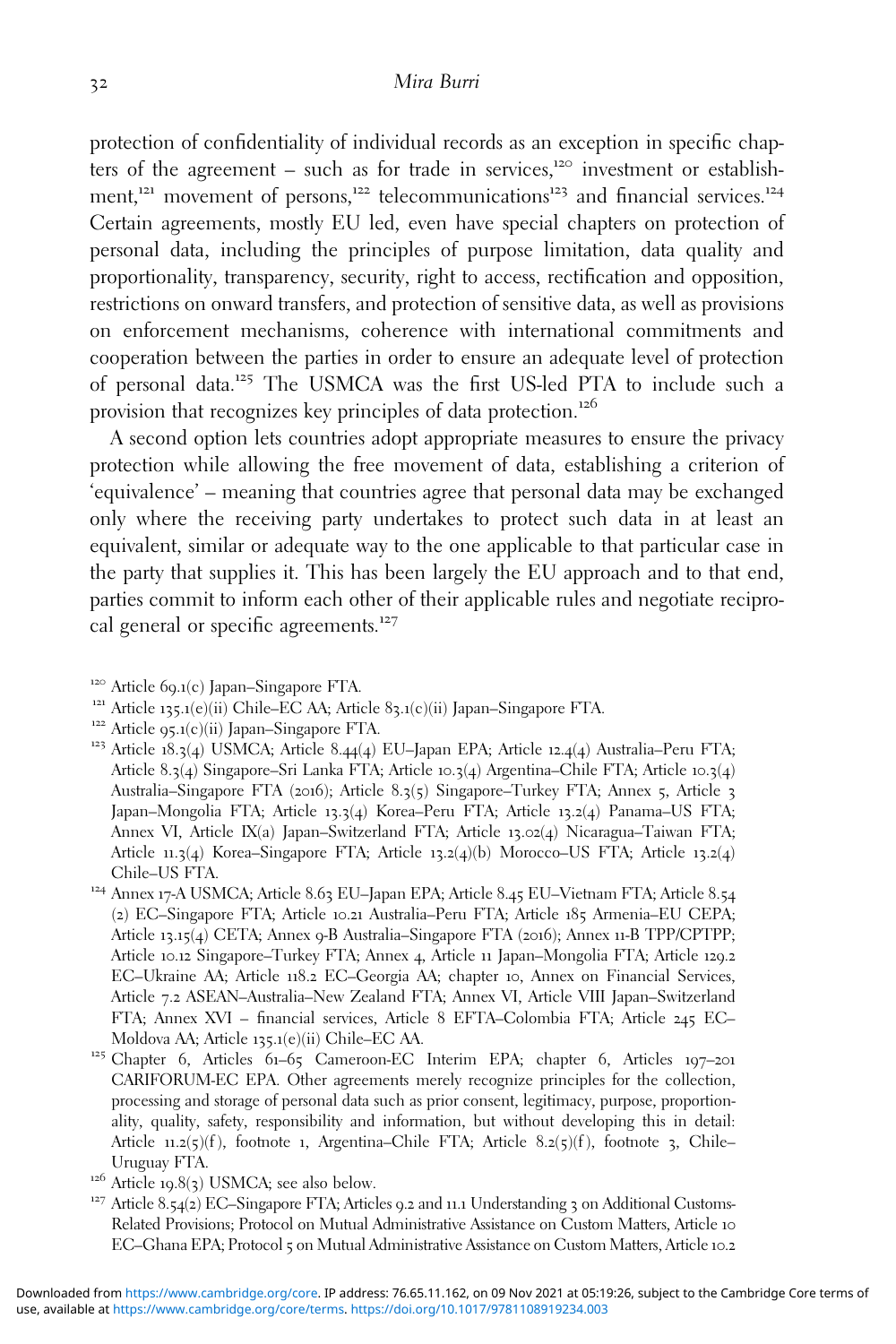protection of confidentiality of individual records as an exception in specific chapters of the agreement – such as for trade in services, $120$  investment or establishment,<sup>121</sup> movement of persons,<sup>122</sup> telecommunications<sup>123</sup> and financial services.<sup>124</sup> Certain agreements, mostly EU led, even have special chapters on protection of personal data, including the principles of purpose limitation, data quality and proportionality, transparency, security, right to access, rectification and opposition, restrictions on onward transfers, and protection of sensitive data, as well as provisions on enforcement mechanisms, coherence with international commitments and cooperation between the parties in order to ensure an adequate level of protection of personal data.<sup>125</sup> The USMCA was the first US-led PTA to include such a provision that recognizes key principles of data protection.<sup>126</sup>

A second option lets countries adopt appropriate measures to ensure the privacy protection while allowing the free movement of data, establishing a criterion of 'equivalence' – meaning that countries agree that personal data may be exchanged only where the receiving party undertakes to protect such data in at least an equivalent, similar or adequate way to the one applicable to that particular case in the party that supplies it. This has been largely the EU approach and to that end, parties commit to inform each other of their applicable rules and negotiate reciprocal general or specific agreements.<sup>127</sup>

- 
- 
- <sup>120</sup> Article 69.1(c) Japan–Singapore FTA.<br><sup>121</sup> Article 135.1(e)(ii) Chile–EC AA; Article 83.1(c)(ii) Japan–Singapore FTA.<br><sup>122</sup> Article 95.1(c)(ii) Japan–Singapore FTA.<br><sup>123</sup> Article 18.3(4) USMCA; Article 8.44(4) EU–Jap Article 8.3(4) Singapore–Sri Lanka FTA; Article 10.3(4) Argentina–Chile FTA; Article 10.3(4) Australia–Singapore FTA (2016); Article 8.3(5) Singapore–Turkey FTA; Annex 5, Article 3 Japan–Mongolia FTA; Article 13.3(4) Korea–Peru FTA; Article 13.2(4) Panama–US FTA; Annex VI, Article IX(a) Japan–Switzerland FTA; Article 13.02(4) Nicaragua–Taiwan FTA; Article 11.3(4) Korea–Singapore FTA; Article 13.2(4)(b) Morocco–US FTA; Article 13.2(4) Chile–US FTA. <sup>124</sup> Annex <sup>17</sup>-A USMCA; Article <sup>8</sup>.<sup>63</sup> EU–Japan EPA; Article <sup>8</sup>.<sup>45</sup> EU–Vietnam FTA; Article <sup>8</sup>.<sup>54</sup>
- (2) EC–Singapore FTA; Article 10.21 Australia–Peru FTA; Article 185 Armenia–EU CEPA; Article 13.15(4) CETA; Annex 9-B Australia–Singapore FTA (2016); Annex 11-B TPP/CPTPP; Article 10.12 Singapore–Turkey FTA; Annex 4, Article 11 Japan–Mongolia FTA; Article 129.2 EC–Ukraine AA; Article 118.2 EC–Georgia AA; chapter 10, Annex on Financial Services, Article 7.2 ASEAN–Australia–New Zealand FTA; Annex VI, Article VIII Japan–Switzerland FTA; Annex XVI – financial services, Article 8 EFTA–Colombia FTA; Article 245 EC– Moldova AA; Article <sup>135</sup>.1(e)(ii) Chile–EC AA. <sup>125</sup> Chapter <sup>6</sup>, Articles <sup>61</sup>–<sup>65</sup> Cameroon-EC Interim EPA; chapter <sup>6</sup>, Articles <sup>197</sup>–<sup>201</sup>
- CARIFORUM-EC EPA. Other agreements merely recognize principles for the collection, processing and storage of personal data such as prior consent, legitimacy, purpose, proportionality, quality, safety, responsibility and information, but without developing this in detail: Article 11.2( $\zeta$ )(f), footnote 1, Argentina–Chile FTA; Article 8.2( $\zeta$ )(f), footnote 3, Chile– Uruguay FTA.<br><sup>126</sup> Article 19.8(3) USMCA; see also below.<br><sup>127</sup> Article 8.54(2) EC–Singapore FTA; Articles 9.2 and 11.1 Understanding 3 on Additional Customs-
- 
- Related Provisions; Protocol on Mutual Administrative Assistance on Custom Matters, Article 10 EC–Ghana EPA; Protocol 5 on Mutual Administrative Assistance on Custom Matters, Article 10.2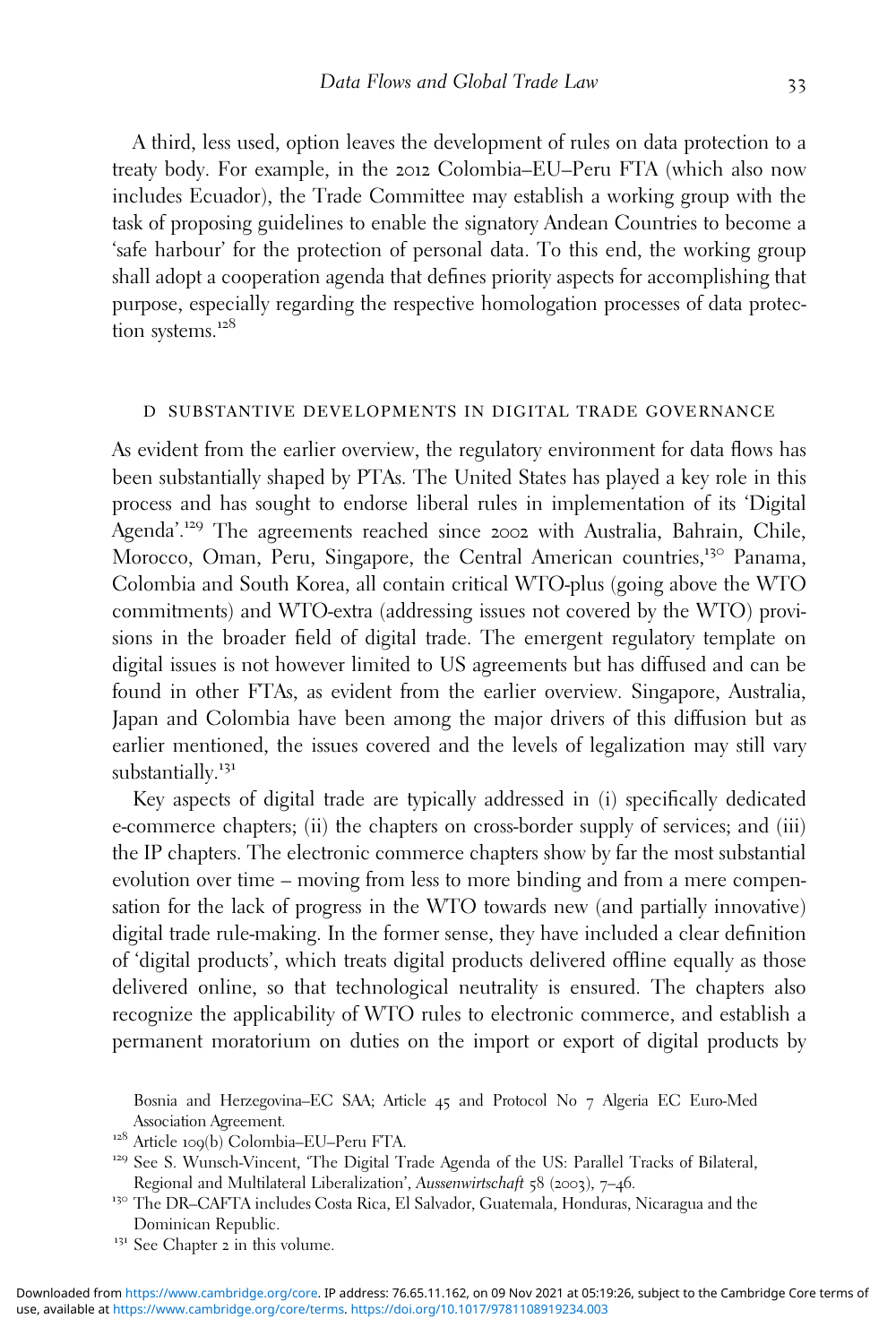A third, less used, option leaves the development of rules on data protection to a treaty body. For example, in the 2012 Colombia–EU–Peru FTA (which also now includes Ecuador), the Trade Committee may establish a working group with the task of proposing guidelines to enable the signatory Andean Countries to become a 'safe harbour' for the protection of personal data. To this end, the working group shall adopt a cooperation agenda that defines priority aspects for accomplishing that purpose, especially regarding the respective homologation processes of data protection systems.<sup>128</sup>

#### d substantive developments in digital trade governance

As evident from the earlier overview, the regulatory environment for data flows has been substantially shaped by PTAs. The United States has played a key role in this process and has sought to endorse liberal rules in implementation of its 'Digital Agenda'. <sup>129</sup> The agreements reached since <sup>2002</sup> with Australia, Bahrain, Chile, Morocco, Oman, Peru, Singapore, the Central American countries,<sup>130</sup> Panama, Colombia and South Korea, all contain critical WTO-plus (going above the WTO commitments) and WTO-extra (addressing issues not covered by the WTO) provisions in the broader field of digital trade. The emergent regulatory template on digital issues is not however limited to US agreements but has diffused and can be found in other FTAs, as evident from the earlier overview. Singapore, Australia, Japan and Colombia have been among the major drivers of this diffusion but as earlier mentioned, the issues covered and the levels of legalization may still vary substantially.<sup>131</sup>

Key aspects of digital trade are typically addressed in (i) specifically dedicated e-commerce chapters; (ii) the chapters on cross-border supply of services; and (iii) the IP chapters. The electronic commerce chapters show by far the most substantial evolution over time – moving from less to more binding and from a mere compensation for the lack of progress in the WTO towards new (and partially innovative) digital trade rule-making. In the former sense, they have included a clear definition of 'digital products', which treats digital products delivered offline equally as those delivered online, so that technological neutrality is ensured. The chapters also recognize the applicability of WTO rules to electronic commerce, and establish a permanent moratorium on duties on the import or export of digital products by

Bosnia and Herzegovina–EC SAA; Article 45 and Protocol No 7 Algeria EC Euro-Med Association Agreement.<br><sup>128</sup> Article 109(b) Colombia–EU–Peru FTA.<br><sup>129</sup> See S. Wunsch-Vincent, "The Digital Trade Agenda of the US: Parallel Tracks of Bilateral,

Regional and Multilateral Liberalization', Aussenwirtschaft <sup>58</sup> (2003), <sup>7</sup>–46. <sup>130</sup> The DR–CAFTA includes Costa Rica, El Salvador, Guatemala, Honduras, Nicaragua and the

Dominican Republic.<br><sup>131</sup> See Chapter 2 in this volume.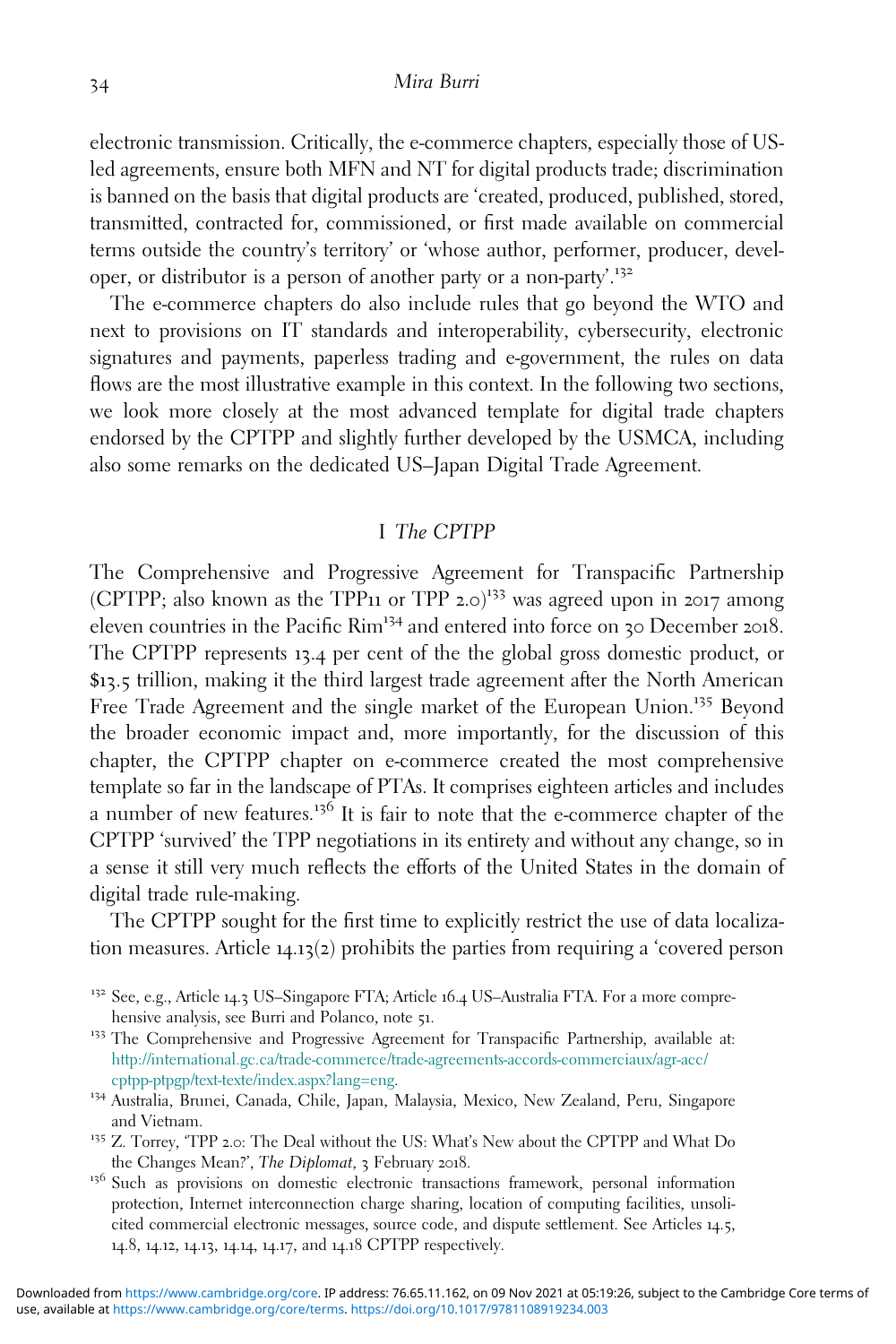electronic transmission. Critically, the e-commerce chapters, especially those of USled agreements, ensure both MFN and NT for digital products trade; discrimination is banned on the basis that digital products are 'created, produced, published, stored, transmitted, contracted for, commissioned, or first made available on commercial terms outside the country's territory' or 'whose author, performer, producer, developer, or distributor is a person of another party or a non-party'.<sup>132</sup>

The e-commerce chapters do also include rules that go beyond the WTO and next to provisions on IT standards and interoperability, cybersecurity, electronic signatures and payments, paperless trading and e-government, the rules on data flows are the most illustrative example in this context. In the following two sections, we look more closely at the most advanced template for digital trade chapters endorsed by the CPTPP and slightly further developed by the USMCA, including also some remarks on the dedicated US–Japan Digital Trade Agreement.

# I The CPTPP

The Comprehensive and Progressive Agreement for Transpacific Partnership (CPTPP; also known as the TPP11 or TPP 2.0) <sup>133</sup> was agreed upon in <sup>2017</sup> among eleven countries in the Pacific Rim<sup>134</sup> and entered into force on 30 December 2018. The CPTPP represents 13.4 per cent of the the global gross domestic product, or \$13.5 trillion, making it the third largest trade agreement after the North American Free Trade Agreement and the single market of the European Union.<sup>135</sup> Beyond the broader economic impact and, more importantly, for the discussion of this chapter, the CPTPP chapter on e-commerce created the most comprehensive template so far in the landscape of PTAs. It comprises eighteen articles and includes a number of new features.<sup>136</sup> It is fair to note that the e-commerce chapter of the CPTPP 'survived' the TPP negotiations in its entirety and without any change, so in a sense it still very much reflects the efforts of the United States in the domain of digital trade rule-making.

The CPTPP sought for the first time to explicitly restrict the use of data localization measures. Article 14.13(2) prohibits the parties from requiring a 'covered person

- [http://international.gc.ca/trade-commerce/trade-agreements-accords-commerciaux/agr-acc/](http://international.gc.ca/trade-commerce/trade-agreements-accords-commerciaux/agr-acc/cptpp-ptpgp/text-texte/index.aspx?lang=eng) [cptpp-ptpgp/text-texte/index.aspx?lang=eng](http://international.gc.ca/trade-commerce/trade-agreements-accords-commerciaux/agr-acc/cptpp-ptpgp/text-texte/index.aspx?lang=eng). <sup>134</sup> Australia, Brunei, Canada, Chile, Japan, Malaysia, Mexico, New Zealand, Peru, Singapore
- and Vietnam. <sup>135</sup> Z. Torrey, 'TPP <sup>2</sup>.0: The Deal without the US: What's New about the CPTPP and What Do
- the Changes Mean?', The Diplomat, 3 February 2018.<br><sup>136</sup> Such as provisions on domestic electronic transactions framework, personal information
- protection, Internet interconnection charge sharing, location of computing facilities, unsolicited commercial electronic messages, source code, and dispute settlement. See Articles 14.5, 14.8, 14.12, 14.13, 14.14, 14.17, and 14.18 CPTPP respectively.

<sup>&</sup>lt;sup>132</sup> See, e.g., Article 14.3 US–Singapore FTA; Article 16.4 US–Australia FTA. For a more comprehensive analysis, see Burri and Polanco, note 51.<br><sup>133</sup> The Comprehensive and Progressive Agreement for Transpacific Partnership, available at: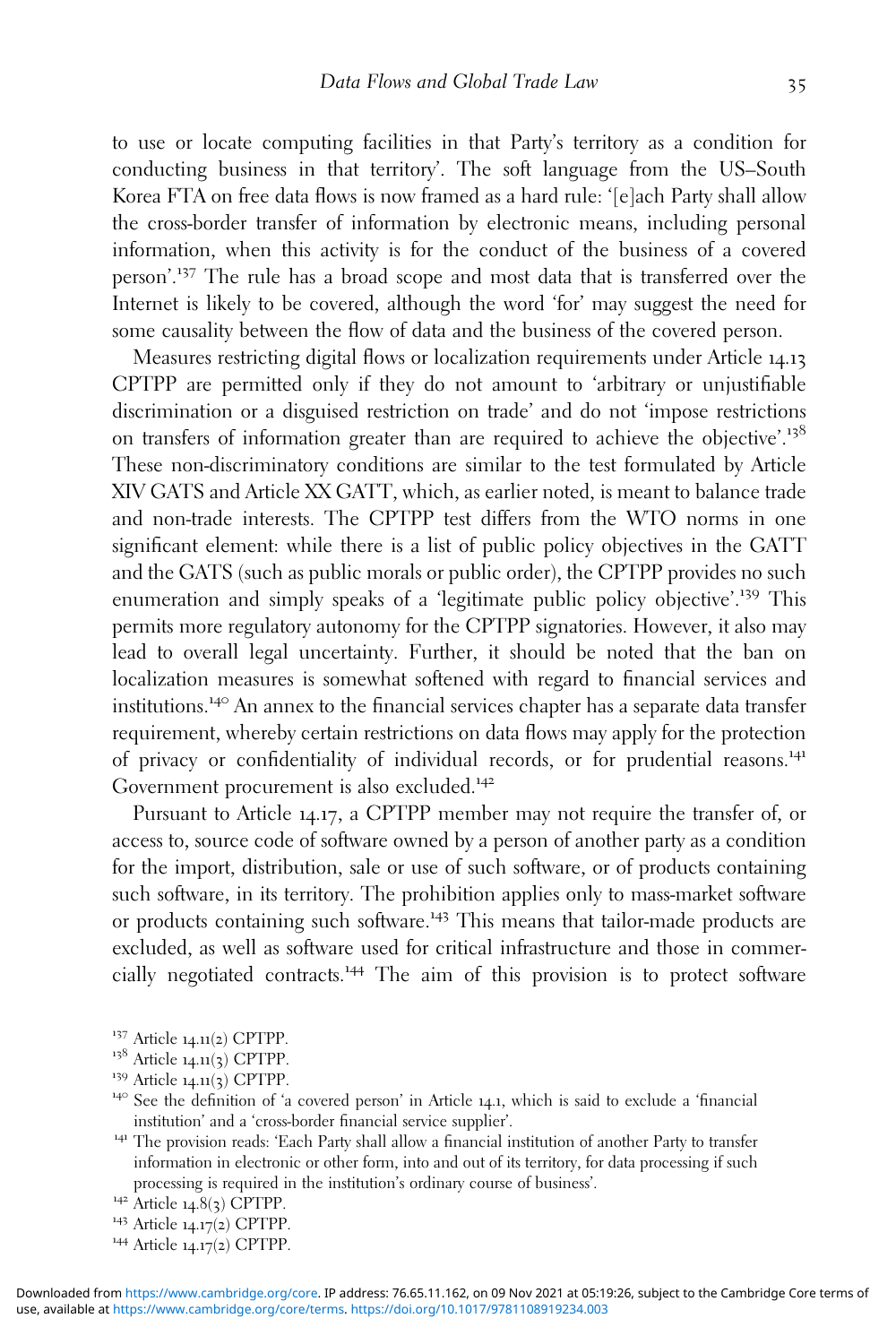to use or locate computing facilities in that Party's territory as a condition for conducting business in that territory'. The soft language from the US–South Korea FTA on free data flows is now framed as a hard rule: '[e]ach Party shall allow the cross-border transfer of information by electronic means, including personal information, when this activity is for the conduct of the business of a covered person'.<sup>137</sup> The rule has a broad scope and most data that is transferred over the Internet is likely to be covered, although the word 'for' may suggest the need for some causality between the flow of data and the business of the covered person.

Measures restricting digital flows or localization requirements under Article 14.13 CPTPP are permitted only if they do not amount to 'arbitrary or unjustifiable discrimination or a disguised restriction on trade' and do not 'impose restrictions on transfers of information greater than are required to achieve the objective'.<sup>138</sup> These non-discriminatory conditions are similar to the test formulated by Article XIV GATS and Article XX GATT, which, as earlier noted, is meant to balance trade and non-trade interests. The CPTPP test differs from the WTO norms in one significant element: while there is a list of public policy objectives in the GATT and the GATS (such as public morals or public order), the CPTPP provides no such enumeration and simply speaks of a 'legitimate public policy objective'.<sup>139</sup> This permits more regulatory autonomy for the CPTPP signatories. However, it also may lead to overall legal uncertainty. Further, it should be noted that the ban on localization measures is somewhat softened with regard to financial services and institutions.<sup>140</sup> An annex to the financial services chapter has a separate data transfer requirement, whereby certain restrictions on data flows may apply for the protection of privacy or confidentiality of individual records, or for prudential reasons.<sup>141</sup> Government procurement is also excluded.<sup>142</sup>

Pursuant to Article 14.17, a CPTPP member may not require the transfer of, or access to, source code of software owned by a person of another party as a condition for the import, distribution, sale or use of such software, or of products containing such software, in its territory. The prohibition applies only to mass-market software or products containing such software.<sup>143</sup> This means that tailor-made products are excluded, as well as software used for critical infrastructure and those in commercially negotiated contracts.<sup>144</sup> The aim of this provision is to protect software

<sup>137</sup> Article <sup>14</sup>.11(2) CPTPP.

<sup>&</sup>lt;sup>138</sup> Article 14.11(3) CPTPP.<br><sup>139</sup> Article 14.11(3) CPTPP.<br><sup>140</sup> See the definition of 'a covered person' in Article 14.1, which is said to exclude a 'financial institution' and a 'cross-border financial service supplier'. <sup>141</sup> The provision reads: 'Each Party shall allow a financial institution of another Party to transfer

information in electronic or other form, into and out of its territory, for data processing if such processing is required in the institution's ordinary course of business'.<br><sup>142</sup> Article 14.8(3) CPTPP.<br><sup>143</sup> Article 14.17(2) CPTPP.<br><sup>144</sup> Article 14.17(2) CPTPP.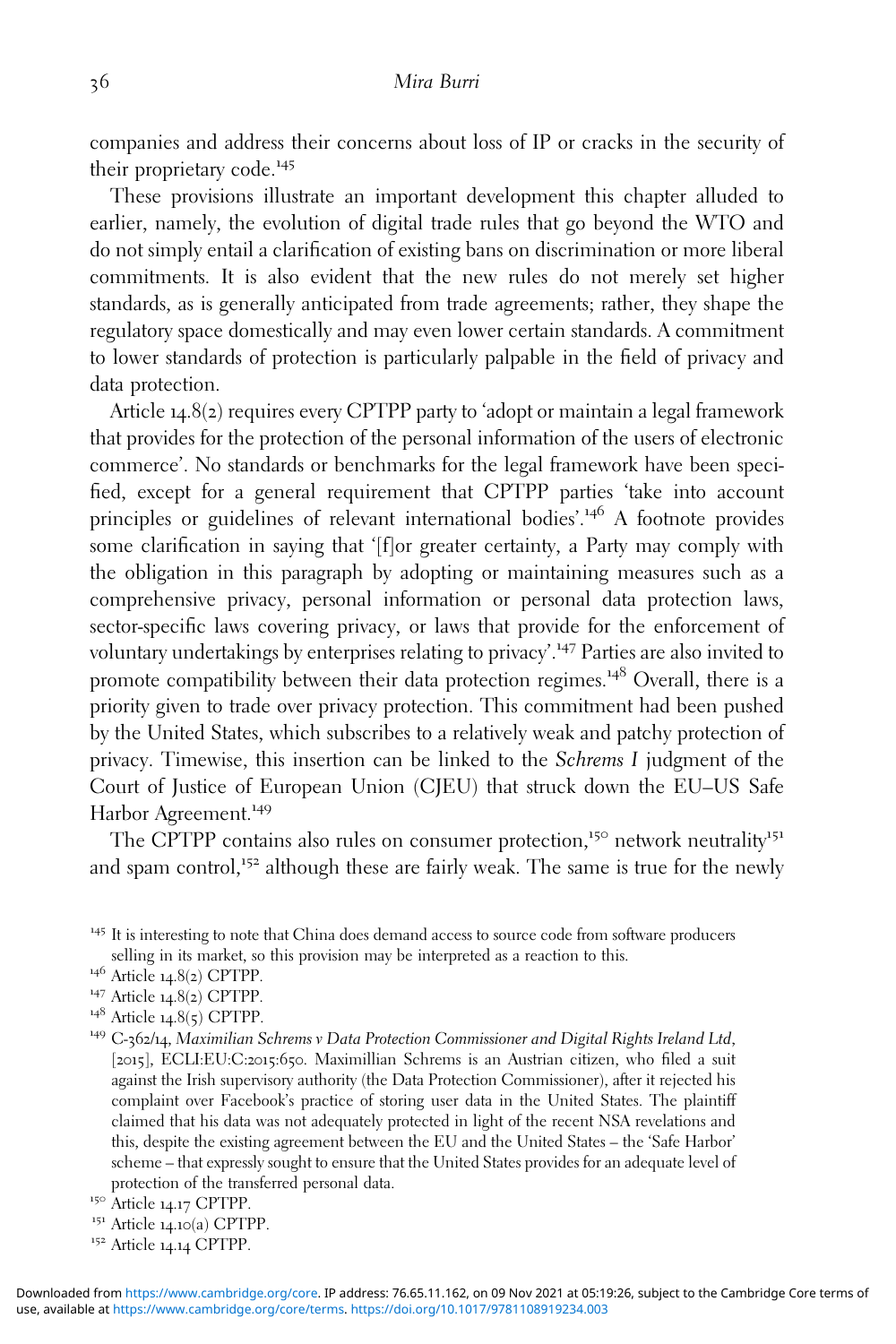companies and address their concerns about loss of IP or cracks in the security of their proprietary code.<sup>145</sup>

These provisions illustrate an important development this chapter alluded to earlier, namely, the evolution of digital trade rules that go beyond the WTO and do not simply entail a clarification of existing bans on discrimination or more liberal commitments. It is also evident that the new rules do not merely set higher standards, as is generally anticipated from trade agreements; rather, they shape the regulatory space domestically and may even lower certain standards. A commitment to lower standards of protection is particularly palpable in the field of privacy and data protection.

Article 14.8(2) requires every CPTPP party to 'adopt or maintain a legal framework that provides for the protection of the personal information of the users of electronic commerce'. No standards or benchmarks for the legal framework have been specified, except for a general requirement that CPTPP parties 'take into account principles or guidelines of relevant international bodies'. <sup>146</sup> A footnote provides some clarification in saying that '[f]or greater certainty, a Party may comply with the obligation in this paragraph by adopting or maintaining measures such as a comprehensive privacy, personal information or personal data protection laws, sector-specific laws covering privacy, or laws that provide for the enforcement of voluntary undertakings by enterprises relating to privacy'. <sup>147</sup> Parties are also invited to promote compatibility between their data protection regimes.<sup>148</sup> Overall, there is a priority given to trade over privacy protection. This commitment had been pushed by the United States, which subscribes to a relatively weak and patchy protection of privacy. Timewise, this insertion can be linked to the Schrems I judgment of the Court of Justice of European Union (CJEU) that struck down the EU–US Safe Harbor Agreement.<sup>149</sup>

The CPTPP contains also rules on consumer protection,<sup>150</sup> network neutrality<sup>151</sup> and spam control,<sup>152</sup> although these are fairly weak. The same is true for the newly

- <sup>146</sup> Article 14.8(2) CPTPP.<br><sup>147</sup> Article 14.8(2) CPTPP.<br><sup>148</sup> Article 14.8(5) CPTPP.
- 
- 

<sup>149</sup> C-362/14, Maximilian Schrems v Data Protection Commissioner and Digital Rights Ireland Ltd, [2015], ECLI:EU:C:2015:650. Maximillian Schrems is an Austrian citizen, who filed a suit against the Irish supervisory authority (the Data Protection Commissioner), after it rejected his complaint over Facebook's practice of storing user data in the United States. The plaintiff claimed that his data was not adequately protected in light of the recent NSA revelations and this, despite the existing agreement between the EU and the United States – the 'Safe Harbor' scheme – that expressly sought to ensure that the United States provides for an adequate level of protection of the transferred personal data.<br><sup>150</sup> Article 14.17 CPTPP.<br><sup>151</sup> Article 14.10(a) CPTPP.<br><sup>152</sup> Article 14.14 CPTPP.

- 
- 
- 

<sup>&</sup>lt;sup>145</sup> It is interesting to note that China does demand access to source code from software producers selling in its market, so this provision may be interpreted as a reaction to this.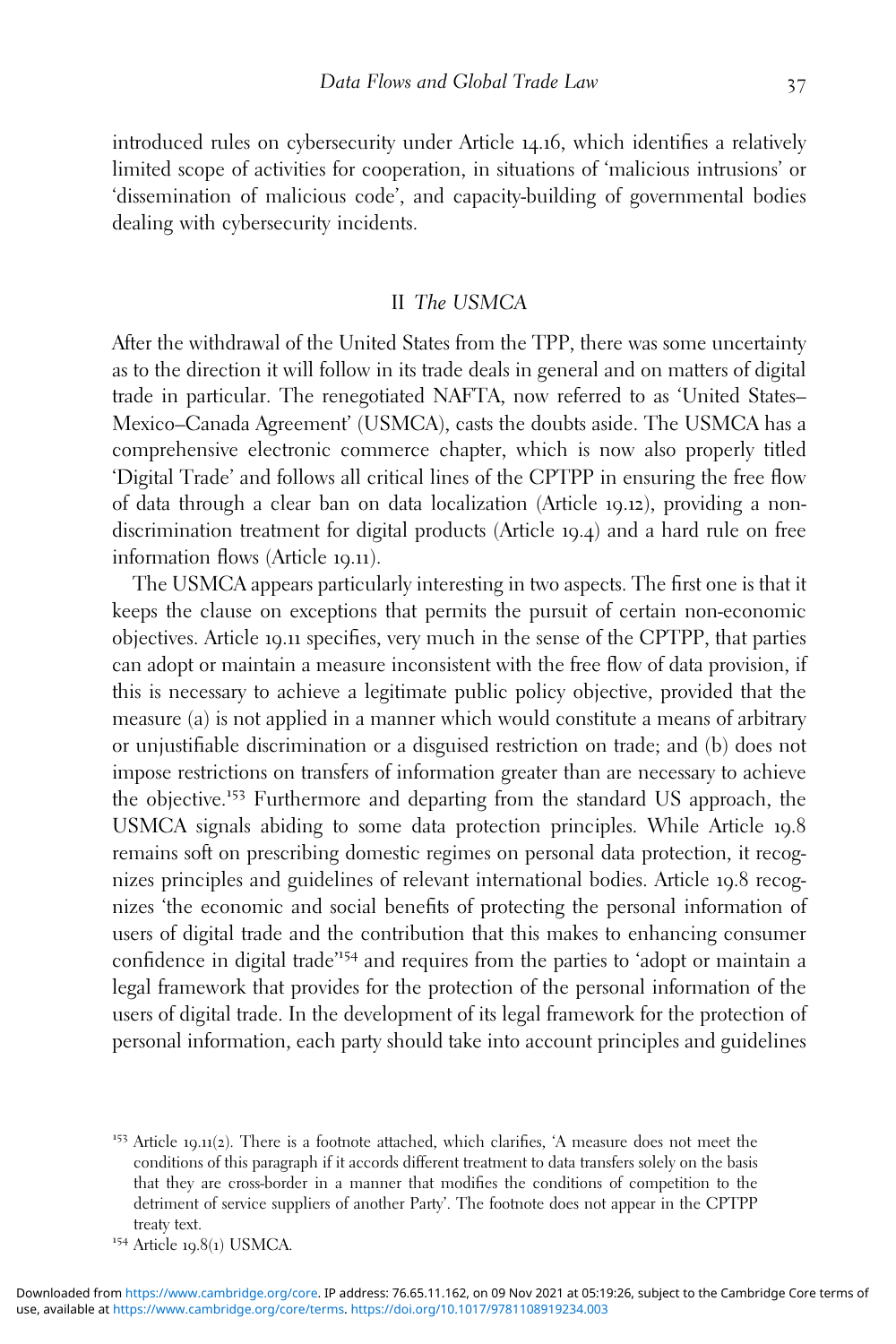introduced rules on cybersecurity under Article 14.16, which identifies a relatively limited scope of activities for cooperation, in situations of 'malicious intrusions' or 'dissemination of malicious code', and capacity-building of governmental bodies dealing with cybersecurity incidents.

# II The USMCA

After the withdrawal of the United States from the TPP, there was some uncertainty as to the direction it will follow in its trade deals in general and on matters of digital trade in particular. The renegotiated NAFTA, now referred to as 'United States– Mexico–Canada Agreement' (USMCA), casts the doubts aside. The USMCA has a comprehensive electronic commerce chapter, which is now also properly titled 'Digital Trade' and follows all critical lines of the CPTPP in ensuring the free flow of data through a clear ban on data localization (Article 19.12), providing a nondiscrimination treatment for digital products (Article 19.4) and a hard rule on free information flows (Article 19.11).

The USMCA appears particularly interesting in two aspects. The first one is that it keeps the clause on exceptions that permits the pursuit of certain non-economic objectives. Article 19.11 specifies, very much in the sense of the CPTPP, that parties can adopt or maintain a measure inconsistent with the free flow of data provision, if this is necessary to achieve a legitimate public policy objective, provided that the measure (a) is not applied in a manner which would constitute a means of arbitrary or unjustifiable discrimination or a disguised restriction on trade; and (b) does not impose restrictions on transfers of information greater than are necessary to achieve the objective.<sup>153</sup> Furthermore and departing from the standard US approach, the USMCA signals abiding to some data protection principles. While Article 19.8 remains soft on prescribing domestic regimes on personal data protection, it recognizes principles and guidelines of relevant international bodies. Article 19.8 recognizes 'the economic and social benefits of protecting the personal information of users of digital trade and the contribution that this makes to enhancing consumer confidence in digital trade' <sup>154</sup> and requires from the parties to 'adopt or maintain a legal framework that provides for the protection of the personal information of the users of digital trade. In the development of its legal framework for the protection of personal information, each party should take into account principles and guidelines

<sup>153</sup> Article <sup>19</sup>.11(2). There is a footnote attached, which clarifies, 'A measure does not meet the conditions of this paragraph if it accords different treatment to data transfers solely on the basis that they are cross-border in a manner that modifies the conditions of competition to the detriment of service suppliers of another Party'. The footnote does not appear in the CPTPP treaty text.<br><sup>154</sup> Article 19.8(1) USMCA.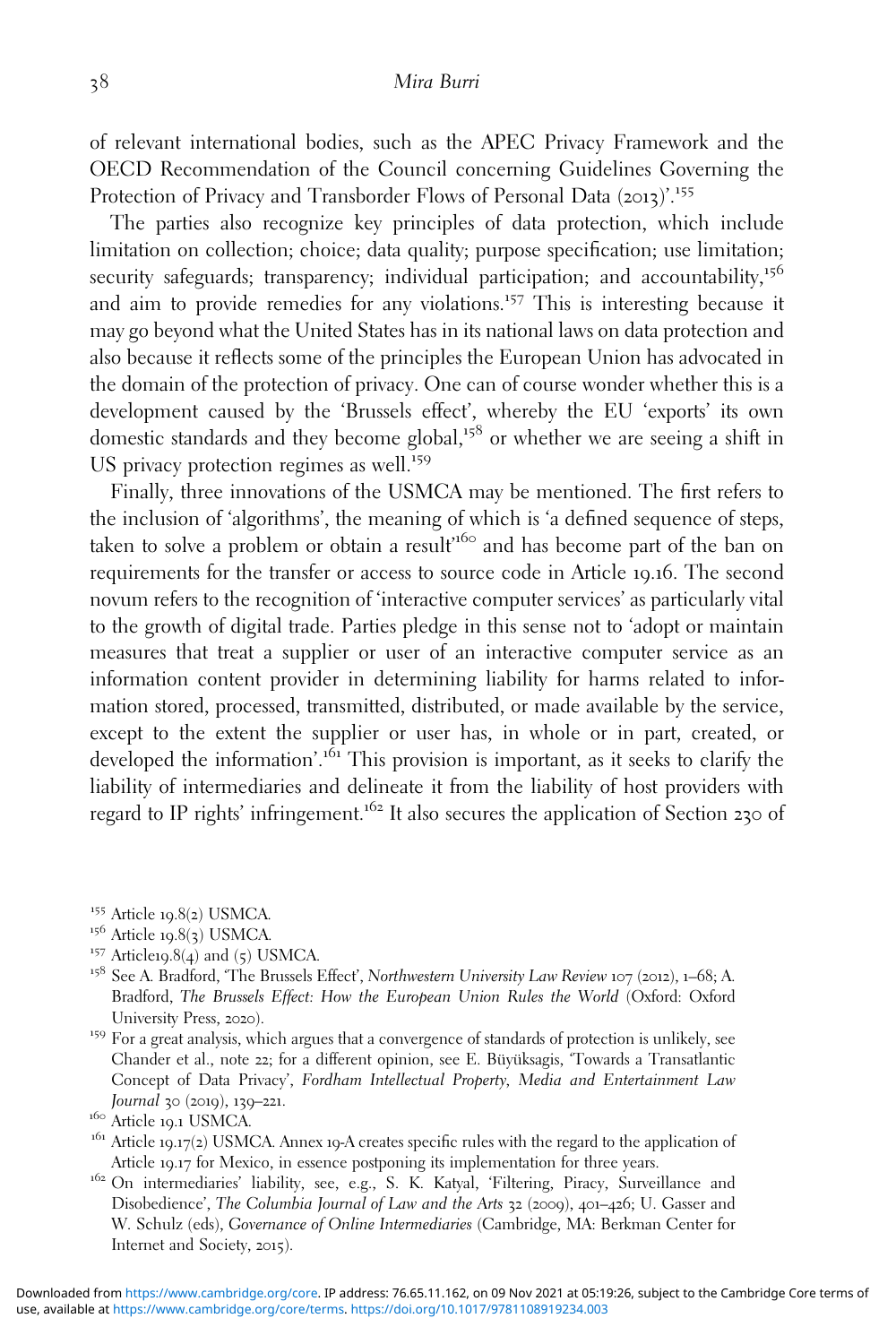## 38 Mira Burri

of relevant international bodies, such as the APEC Privacy Framework and the OECD Recommendation of the Council concerning Guidelines Governing the Protection of Privacy and Transborder Flows of Personal Data (2013)'.<sup>155</sup>

The parties also recognize key principles of data protection, which include limitation on collection; choice; data quality; purpose specification; use limitation; security safeguards; transparency; individual participation; and accountability,<sup>156</sup> and aim to provide remedies for any violations.<sup>157</sup> This is interesting because it may go beyond what the United States has in its national laws on data protection and also because it reflects some of the principles the European Union has advocated in the domain of the protection of privacy. One can of course wonder whether this is a development caused by the 'Brussels effect', whereby the EU 'exports' its own domestic standards and they become global,<sup>158</sup> or whether we are seeing a shift in US privacy protection regimes as well.<sup>159</sup>

Finally, three innovations of the USMCA may be mentioned. The first refers to the inclusion of 'algorithms', the meaning of which is 'a defined sequence of steps, taken to solve a problem or obtain a result<sup>160</sup> and has become part of the ban on requirements for the transfer or access to source code in Article 19.16. The second novum refers to the recognition of 'interactive computer services' as particularly vital to the growth of digital trade. Parties pledge in this sense not to 'adopt or maintain measures that treat a supplier or user of an interactive computer service as an information content provider in determining liability for harms related to information stored, processed, transmitted, distributed, or made available by the service, except to the extent the supplier or user has, in whole or in part, created, or developed the information'. <sup>161</sup> This provision is important, as it seeks to clarify the liability of intermediaries and delineate it from the liability of host providers with regard to IP rights' infringement.<sup>162</sup> It also secures the application of Section 230 of

- <sup>155</sup> Article 19.8(2) USMCA.<br><sup>156</sup> Article 19.8(3) USMCA.
- <sup>157</sup> Article19.8(4) and (5) USMCA.
- <sup>158</sup> See A. Bradford, 'The Brussels Effect', Northwestern University Law Review 107 (2012), 1–68; A. Bradford, The Brussels Effect: How the European Union Rules the World (Oxford: Oxford University Press, 2020).<br><sup>159</sup> For a great analysis, which argues that a convergence of standards of protection is unlikely, see
- Chander et al., note 22; for a different opinion, see E. Büyüksagis, 'Towards a Transatlantic Concept of Data Privacy', Fordham Intellectual Property, Media and Entertainment Law Journal 30 (2019), 139–221.<br><sup>160</sup> Article 19.1 USMCA.<br><sup>161</sup> Article 19.17(2) USMCA. Annex 19-A creates specific rules with the regard to the application of
- 
- 
- Article <sup>19</sup>.<sup>17</sup> for Mexico, in essence postponing its implementation for three years. <sup>162</sup> On intermediaries' liability, see, e.g., S. K. Katyal, 'Filtering, Piracy, Surveillance and Disobedience', The Columbia Journal of Law and the Arts 32 (2009), 401–426; U. Gasser and W. Schulz (eds), Governance of Online Intermediaries (Cambridge, MA: Berkman Center for Internet and Society, 2015).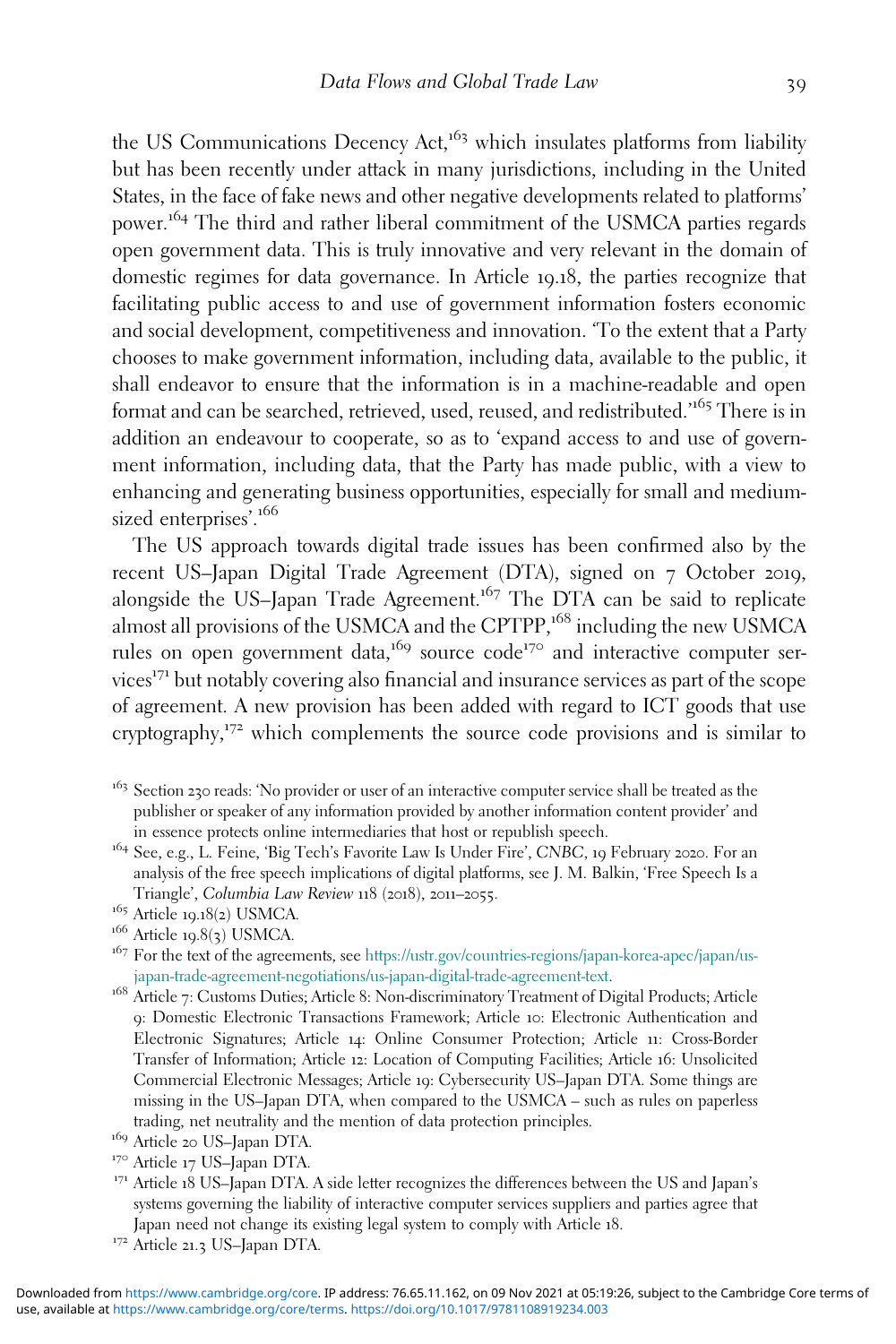the US Communications Decency Act,<sup>163</sup> which insulates platforms from liability but has been recently under attack in many jurisdictions, including in the United States, in the face of fake news and other negative developments related to platforms' power.<sup>164</sup> The third and rather liberal commitment of the USMCA parties regards open government data. This is truly innovative and very relevant in the domain of domestic regimes for data governance. In Article 19.18, the parties recognize that facilitating public access to and use of government information fosters economic and social development, competitiveness and innovation. 'To the extent that a Party chooses to make government information, including data, available to the public, it shall endeavor to ensure that the information is in a machine-readable and open format and can be searched, retrieved, used, reused, and redistributed.' <sup>165</sup> There is in addition an endeavour to cooperate, so as to 'expand access to and use of government information, including data, that the Party has made public, with a view to enhancing and generating business opportunities, especially for small and mediumsized enterprises'.<sup>166</sup>

The US approach towards digital trade issues has been confirmed also by the recent US–Japan Digital Trade Agreement (DTA), signed on 7 October 2019, alongside the US-Japan Trade Agreement.<sup>167</sup> The DTA can be said to replicate almost all provisions of the USMCA and the CPTPP,<sup>168</sup> including the new USMCA rules on open government data,<sup>169</sup> source code<sup>170</sup> and interactive computer services<sup>171</sup> but notably covering also financial and insurance services as part of the scope of agreement. A new provision has been added with regard to ICT goods that use cryptography,<sup>172</sup> which complements the source code provisions and is similar to

<sup>164</sup> See, e.g., L. Feine, 'Big Tech's Favorite Law Is Under Fire', CNBC, <sup>19</sup> February <sup>2020</sup>. For an analysis of the free speech implications of digital platforms, see J. M. Balkin, 'Free Speech Is a Triangle', Columbia Law Review 118 (2018), 2011–2055.<br><sup>165</sup> Article 19.18(2) USMCA.<br><sup>166</sup> Article 19.8(3) USMCA.

9: Domestic Electronic Transactions Framework; Article 10: Electronic Authentication and Electronic Signatures; Article 14: Online Consumer Protection; Article 11: Cross-Border Transfer of Information; Article 12: Location of Computing Facilities; Article 16: Unsolicited Commercial Electronic Messages; Article 19: Cybersecurity US–Japan DTA. Some things are missing in the US–Japan DTA, when compared to the USMCA – such as rules on paperless trading, net neutrality and the mention of data protection principles.

- 
- <sup>170</sup> Article 17 US–Japan DTA.<br><sup>171</sup> Article 18 US–Japan DTA. A side letter recognizes the differences between the US and Japan's systems governing the liability of interactive computer services suppliers and parties agree that Japan need not change its existing legal system to comply with Article <sup>18</sup>. <sup>172</sup> Article <sup>21</sup>.<sup>3</sup> US–Japan DTA.
- 

<sup>&</sup>lt;sup>163</sup> Section 230 reads: 'No provider or user of an interactive computer service shall be treated as the publisher or speaker of any information provided by another information content provider' and in essence protects online intermediaries that host or republish speech.

<sup>&</sup>lt;sup>167</sup> For the text of the agreements, see [https://ustr.gov/countries-regions/japan-korea-apec/japan/us](https://ustr.gov/countries-regions/japan-korea-apec/japan/us-japan-trade-agreement-negotiations/us-japan-digital-trade-agreement-text)[japan-trade-agreement-negotiations/us-japan-digital-trade-agreement-text](https://ustr.gov/countries-regions/japan-korea-apec/japan/us-japan-trade-agreement-negotiations/us-japan-digital-trade-agreement-text). <sup>168</sup> Article <sup>7</sup>: Customs Duties; Article <sup>8</sup>: Non-discriminatory Treatment of Digital Products; Article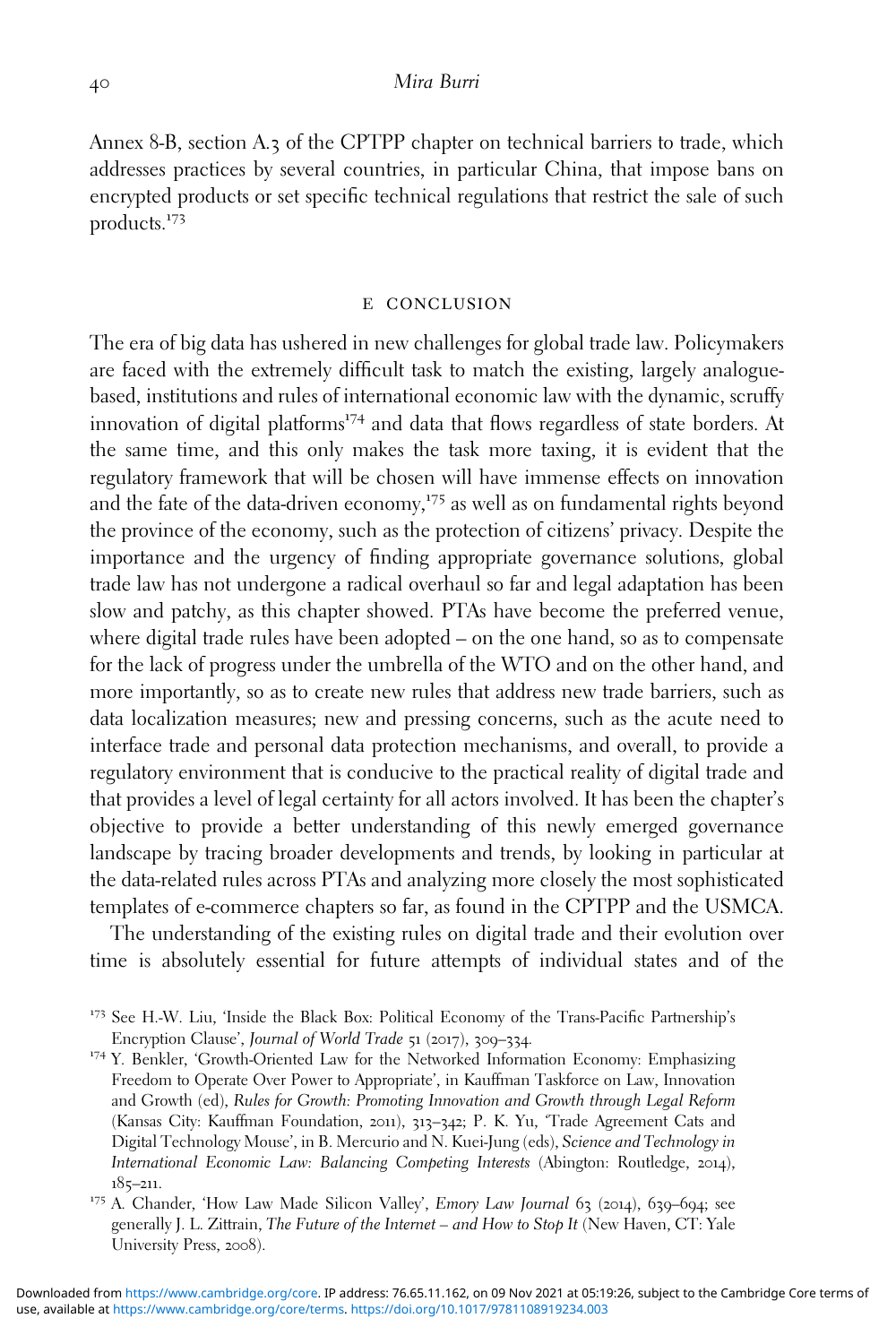Annex 8-B, section A.3 of the CPTPP chapter on technical barriers to trade, which addresses practices by several countries, in particular China, that impose bans on encrypted products or set specific technical regulations that restrict the sale of such products.<sup>173</sup>

## e conclusion

The era of big data has ushered in new challenges for global trade law. Policymakers are faced with the extremely difficult task to match the existing, largely analoguebased, institutions and rules of international economic law with the dynamic, scruffy innovation of digital platforms<sup>174</sup> and data that flows regardless of state borders. At the same time, and this only makes the task more taxing, it is evident that the regulatory framework that will be chosen will have immense effects on innovation and the fate of the data-driven economy,<sup>175</sup> as well as on fundamental rights beyond the province of the economy, such as the protection of citizens' privacy. Despite the importance and the urgency of finding appropriate governance solutions, global trade law has not undergone a radical overhaul so far and legal adaptation has been slow and patchy, as this chapter showed. PTAs have become the preferred venue, where digital trade rules have been adopted – on the one hand, so as to compensate for the lack of progress under the umbrella of the WTO and on the other hand, and more importantly, so as to create new rules that address new trade barriers, such as data localization measures; new and pressing concerns, such as the acute need to interface trade and personal data protection mechanisms, and overall, to provide a regulatory environment that is conducive to the practical reality of digital trade and that provides a level of legal certainty for all actors involved. It has been the chapter's objective to provide a better understanding of this newly emerged governance landscape by tracing broader developments and trends, by looking in particular at the data-related rules across PTAs and analyzing more closely the most sophisticated templates of e-commerce chapters so far, as found in the CPTPP and the USMCA.

The understanding of the existing rules on digital trade and their evolution over time is absolutely essential for future attempts of individual states and of the

<sup>174</sup> Y. Benkler, 'Growth-Oriented Law for the Networked Information Economy: Emphasizing Freedom to Operate Over Power to Appropriate', in Kauffman Taskforce on Law, Innovation and Growth (ed), Rules for Growth: Promoting Innovation and Growth through Legal Reform (Kansas City: Kauffman Foundation, 2011), 313–342; P. K. Yu, 'Trade Agreement Cats and Digital Technology Mouse', in B. Mercurio and N. Kuei-Jung (eds), Science and Technology in International Economic Law: Balancing Competing Interests (Abington: Routledge, 2014), 185–211.<br><sup>175</sup> A. Chander, 'How Law Made Silicon Valley', *Emory Law Journal* 63 (2014), 639–694; see

<sup>&</sup>lt;sup>173</sup> See H.-W. Liu, 'Inside the Black Box: Political Economy of the Trans-Pacific Partnership's Encryption Clause', *Journal of World Trade* 51 (2017), 309–334.

generally J. L. Zittrain, The Future of the Internet – and How to Stop It (New Haven, CT: Yale University Press, 2008).